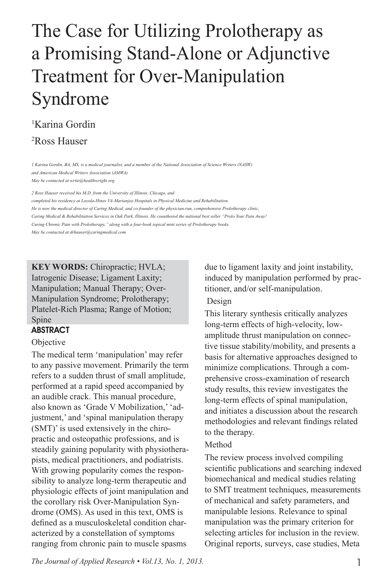### The Case for Utilizing Prolotherapy as a Promising Stand-Alone or Adjunctive Treatment for Over-Manipulation Syndrome

### 1 Karina Gordin

2 Ross Hauser

*1 Karina Gordin, BA, MS, is a medical journalist, and a member of the National Association of Science Writers (NASW) and American Medical Writers Association (AMWA) May be contacted at write@healthwright.org*

*2 Ross Hauser received his M.D. from the University of Illinois, Chicago, and* 

*completed his residency at Loyola-Hines VA-Marianjoy Hospitals in Physical Medicine and Rehabilitation.* 

*He is now the medical director of Caring Medical, and co-founder of the physician-run, comprehensive Prolotherapy clinic, Caring Medical & Rehabilitation Services in Oak Park, Illinois. He coauthored the national best seller "Prolo Your Pain Away!* 

*Curing Chronic Pain with Prolotherapy," along with a four-book topical mini series of Prolotherapy books.*

*May be contacted at drhauser@caringmedical.com*

**KEY WORDS:** Chiropractic; HVLA; Iatrogenic Disease; Ligament Laxity; Manipulation; Manual Therapy; Over-Manipulation Syndrome; Prolotherapy; Platelet-Rich Plasma; Range of Motion; Spine

#### ABSTRACT

#### **Objective**

The medical term 'manipulation' may refer to any passive movement. Primarily the term refers to a sudden thrust of small amplitude, performed at a rapid speed accompanied by an audible crack. This manual procedure, also known as 'Grade V Mobilization,' 'adjustment,' and 'spinal manipulation therapy (SMT)' is used extensively in the chiropractic and osteopathic professions, and is steadily gaining popularity with physiotherapists, medical practitioners, and podiatrists. With growing popularity comes the responsibility to analyze long-term therapeutic and physiologic effects of joint manipulation and the corollary risk Over-Manipulation Syndrome (OMS). As used in this text, OMS is defined as a musculoskeletal condition characterized by a constellation of symptoms ranging from chronic pain to muscle spasms

due to ligament laxity and joint instability, induced by manipulation performed by practitioner, and/or self-manipulation.

#### Design

This literary synthesis critically analyzes long-term effects of high-velocity, lowamplitude thrust manipulation on connective tissue stability/mobility, and presents a basis for alternative approaches designed to minimize complications. Through a comprehensive cross-examination of research study results, this review investigates the long-term effects of spinal manipulation, and initiates a discussion about the research methodologies and relevant findings related to the therapy.

#### Method

The review process involved compiling scientific publications and searching indexed biomechanical and medical studies relating to SMT treatment techniques, measurements of mechanical and safety parameters, and manipulable lesions. Relevance to spinal manipulation was the primary criterion for selecting articles for inclusion in the review. Original reports, surveys, case studies, Meta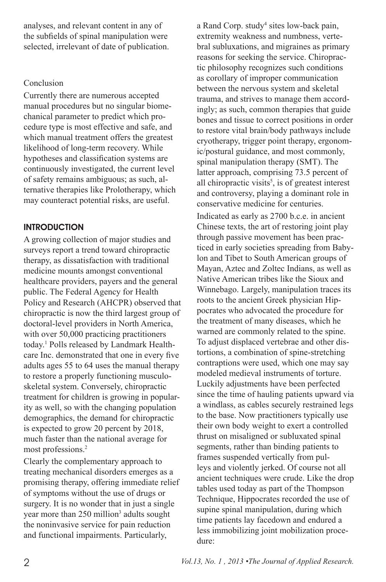analyses, and relevant content in any of the subfields of spinal manipulation were selected, irrelevant of date of publication.

#### Conclusion

Currently there are numerous accepted manual procedures but no singular biomechanical parameter to predict which procedure type is most effective and safe, and which manual treatment offers the greatest likelihood of long-term recovery. While hypotheses and classification systems are continuously investigated, the current level of safety remains ambiguous; as such, alternative therapies like Prolotherapy, which may counteract potential risks, are useful.

#### **INTRODUCTION**

A growing collection of major studies and surveys report a trend toward chiropractic therapy, as dissatisfaction with traditional medicine mounts amongst conventional healthcare providers, payers and the general public. The Federal Agency for Health Policy and Research (AHCPR) observed that chiropractic is now the third largest group of doctoral-level providers in North America, with over 50,000 practicing practitioners today.1 Polls released by Landmark Healthcare Inc. demonstrated that one in every five adults ages 55 to 64 uses the manual therapy to restore a properly functioning musculoskeletal system. Conversely, chiropractic treatment for children is growing in popularity as well, so with the changing population demographics, the demand for chiropractic is expected to grow 20 percent by 2018, much faster than the national average for most professions.<sup>2</sup>

Clearly the complementary approach to treating mechanical disorders emerges as a promising therapy, offering immediate relief of symptoms without the use of drugs or surgery. It is no wonder that in just a single year more than 250 million<sup>3</sup> adults sought the noninvasive service for pain reduction and functional impairments. Particularly,

a Rand Corp. study<sup>4</sup> sites low-back pain, extremity weakness and numbness, vertebral subluxations, and migraines as primary reasons for seeking the service. Chiropractic philosophy recognizes such conditions as corollary of improper communication between the nervous system and skeletal trauma, and strives to manage them accordingly; as such, common therapies that guide bones and tissue to correct positions in order to restore vital brain/body pathways include cryotherapy, trigger point therapy, ergonomic/postural guidance, and most commonly, spinal manipulation therapy (SMT). The latter approach, comprising 73.5 percent of all chiropractic visits<sup> $5$ </sup>, is of greatest interest and controversy, playing a dominant role in conservative medicine for centuries. Indicated as early as 2700 b.c.e. in ancient Chinese texts, the art of restoring joint play through passive movement has been practiced in early societies spreading from Babylon and Tibet to South American groups of Mayan, Aztec and Zoltec Indians, as well as Native American tribes like the Sioux and Winnebago. Largely, manipulation traces its roots to the ancient Greek physician Hippocrates who advocated the procedure for the treatment of many diseases, which he warned are commonly related to the spine. To adjust displaced vertebrae and other distortions, a combination of spine-stretching contraptions were used, which one may say modeled medieval instruments of torture. Luckily adjustments have been perfected since the time of hauling patients upward via a windlass, as cables securely restrained legs to the base. Now practitioners typically use their own body weight to exert a controlled thrust on misaligned or subluxated spinal segments, rather than binding patients to frames suspended vertically from pulleys and violently jerked. Of course not all ancient techniques were crude. Like the drop tables used today as part of the Thompson Technique, Hippocrates recorded the use of supine spinal manipulation, during which time patients lay facedown and endured a less immobilizing joint mobilization procedure: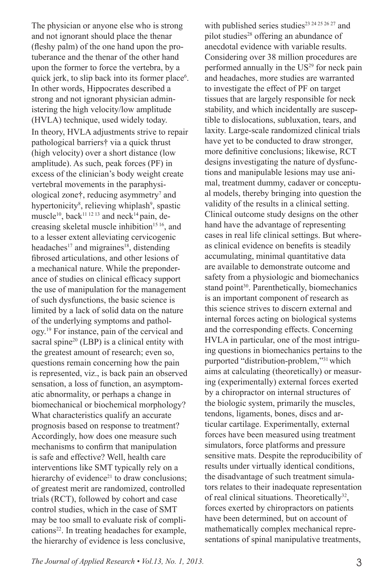The physician or anyone else who is strong and not ignorant should place the thenar (fleshy palm) of the one hand upon the protuberance and the thenar of the other hand upon the former to force the vertebra, by a quick jerk, to slip back into its former place<sup>6</sup>. In other words, Hippocrates described a strong and not ignorant physician administering the high velocity/low amplitude (HVLA) technique, used widely today. In theory, HVLA adjustments strive to repair pathological barriers† via a quick thrust (high velocity) over a short distance (low amplitude). As such, peak forces (PF) in excess of the clinician's body weight create vertebral movements in the paraphysiological zone†, reducing asymmetry<sup>7</sup> and hypertonicity<sup>8</sup>, relieving whiplash<sup>9</sup>, spastic muscle<sup>10</sup>, back<sup>11 12 13</sup> and neck<sup>14</sup> pain, decreasing skeletal muscle inhibition<sup>15 16</sup>, and to a lesser extent alleviating cervicogenic headaches<sup>17</sup> and migraines<sup>18</sup>, distending fibrosed articulations, and other lesions of a mechanical nature. While the preponderance of studies on clinical efficacy support the use of manipulation for the management of such dysfunctions, the basic science is limited by a lack of solid data on the nature of the underlying symptoms and pathology.19 For instance, pain of the cervical and sacral spine $20$  (LBP) is a clinical entity with the greatest amount of research; even so, questions remain concerning how the pain is represented, viz., is back pain an observed sensation, a loss of function, an asymptomatic abnormality, or perhaps a change in biomechanical or biochemical morphology? What characteristics qualify an accurate prognosis based on response to treatment? Accordingly, how does one measure such mechanisms to confirm that manipulation is safe and effective? Well, health care interventions like SMT typically rely on a hierarchy of evidence $21$  to draw conclusions; of greatest merit are randomized, controlled trials (RCT), followed by cohort and case control studies, which in the case of SMT may be too small to evaluate risk of complications<sup>22</sup>. In treating headaches for example, the hierarchy of evidence is less conclusive,

with published series studies<sup>23 24 25 26 27</sup> and pilot studies<sup>28</sup> offering an abundance of anecdotal evidence with variable results. Considering over 38 million procedures are performed annually in the US<sup>29</sup> for neck pain and headaches, more studies are warranted to investigate the effect of PF on target tissues that are largely responsible for neck stability, and which incidentally are susceptible to dislocations, subluxation, tears, and laxity. Large-scale randomized clinical trials have yet to be conducted to draw stronger, more definitive conclusions; likewise, RCT designs investigating the nature of dysfunctions and manipulable lesions may use animal, treatment dummy, cadaver or conceptual models, thereby bringing into question the validity of the results in a clinical setting. Clinical outcome study designs on the other hand have the advantage of representing cases in real life clinical settings. But whereas clinical evidence on benefits is steadily accumulating, minimal quantitative data are available to demonstrate outcome and safety from a physiologic and biomechanics stand point<sup>30</sup>. Parenthetically, biomechanics is an important component of research as this science strives to discern external and internal forces acting on biological systems and the corresponding effects. Concerning HVLA in particular, one of the most intriguing questions in biomechanics pertains to the purported "distribution-problem,"31 which aims at calculating (theoretically) or measuring (experimentally) external forces exerted by a chiropractor on internal structures of the biologic system, primarily the muscles, tendons, ligaments, bones, discs and articular cartilage. Experimentally, external forces have been measured using treatment simulators, force platforms and pressure sensitive mats. Despite the reproducibility of results under virtually identical conditions, the disadvantage of such treatment simulators relates to their inadequate representation of real clinical situations. Theoretically<sup>32</sup>, forces exerted by chiropractors on patients have been determined, but on account of mathematically complex mechanical representations of spinal manipulative treatments,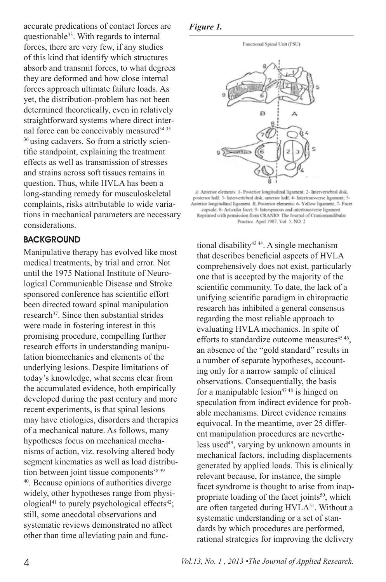accurate predications of contact forces are questionable<sup>33</sup>. With regards to internal forces, there are very few, if any studies of this kind that identify which structures absorb and transmit forces, to what degrees they are deformed and how close internal forces approach ultimate failure loads. As yet, the distribution-problem has not been determined theoretically, even in relatively straightforward systems where direct internal force can be conceivably measured<sup>34 35</sup> <sup>36</sup> using cadavers. So from a strictly scientific standpoint, explaining the treatment effects as well as transmission of stresses and strains across soft tissues remains in question. Thus, while HVLA has been a long-standing remedy for musculoskeletal complaints, risks attributable to wide variations in mechanical parameters are necessary considerations.

#### **BACKGROUND**

Manipulative therapy has evolved like most medical treatments, by trial and error. Not until the 1975 National Institute of Neurological Communicable Disease and Stroke sponsored conference has scientific effort been directed toward spinal manipulation research<sup>37</sup>. Since then substantial strides were made in fostering interest in this promising procedure, compelling further research efforts in understanding manipulation biomechanics and elements of the underlying lesions. Despite limitations of today's knowledge, what seems clear from the accumulated evidence, both empirically developed during the past century and more recent experiments, is that spinal lesions may have etiologies, disorders and therapies of a mechanical nature. As follows, many hypotheses focus on mechanical mechanisms of action, viz. resolving altered body segment kinematics as well as load distribution between joint tissue components $38\,39$ 40. Because opinions of authorities diverge widely, other hypotheses range from physiological<sup>41</sup> to purely psychological effects<sup>42</sup>; still, some anecdotal observations and systematic reviews demonstrated no affect other than time alleviating pain and func-





A: Anterior elements: 1- Posterior longitudinal ligament; 2- Intervertebral disk, posterior half; 3- Intervertebral disk, anterior half; 4- Intertransverse ligament; 5 Anterior longitudinal ligament. B, Posterior elements: 6- Yellow ligament; 7- Facet capsule; 8- Articular facet; 9- Interspinous and intertransverse ligament. Reprinted with permission from CRANIO: The Journal of Craniomandibular Practice. April 1987, Vol. 5, NO. 2

tional disability<sup>43 44</sup>. A single mechanism that describes beneficial aspects of HVLA comprehensively does not exist, particularly one that is accepted by the majority of the scientific community. To date, the lack of a unifying scientific paradigm in chiropractic research has inhibited a general consensus regarding the most reliable approach to evaluating HVLA mechanics. In spite of efforts to standardize outcome measures<sup>45 46</sup>, an absence of the "gold standard" results in a number of separate hypotheses, accounting only for a narrow sample of clinical observations. Consequentially, the basis for a manipulable lesion $4748$  is hinged on speculation from indirect evidence for probable mechanisms. Direct evidence remains equivocal. In the meantime, over 25 different manipulation procedures are nevertheless used<sup>49</sup>, varying by unknown amounts in mechanical factors, including displacements generated by applied loads. This is clinically relevant because, for instance, the simple facet syndrome is thought to arise from inappropriate loading of the facet joints<sup>50</sup>, which are often targeted during HVLA<sup>51</sup>. Without a systematic understanding or a set of standards by which procedures are performed, rational strategies for improving the delivery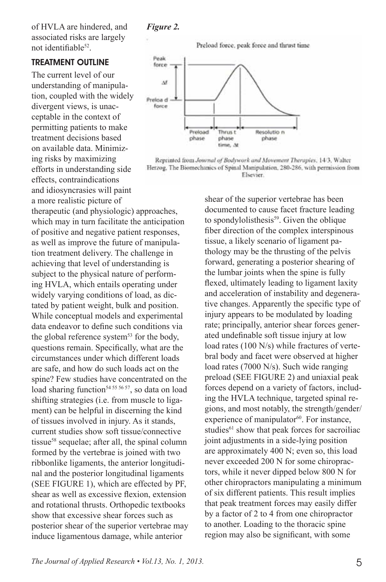Peak

of HVLA are hindered, and associated risks are largely not identifiable52.

#### Treatment Outline

The current level of our understanding of manipulation, coupled with the widely divergent views, is unacceptable in the context of permitting patients to make treatment decisions based on available data. Minimizing risks by maximizing efforts in understanding side effects, contraindications and idiosyncrasies will paint a more realistic picture of

therapeutic (and physiologic) approaches, which may in turn facilitate the anticipation of positive and negative patient responses, as well as improve the future of manipulation treatment delivery. The challenge in achieving that level of understanding is subject to the physical nature of performing HVLA, which entails operating under widely varying conditions of load, as dictated by patient weight, bulk and position. While conceptual models and experimental data endeavor to define such conditions via the global reference system<sup>53</sup> for the body, questions remain. Specifically, what are the circumstances under which different loads are safe, and how do such loads act on the spine? Few studies have concentrated on the load sharing function<sup>54 55 56 57</sup>, so data on load shifting strategies (i.e. from muscle to ligament) can be helpful in discerning the kind of tissues involved in injury. As it stands, current studies show soft tissue/connective tissue<sup>58</sup> sequelae; after all, the spinal column formed by the vertebrae is joined with two ribbonlike ligaments, the anterior longitudinal and the posterior longitudinal ligaments (SEE FIGURE 1), which are effected by PF, shear as well as excessive flexion, extension and rotational thrusts. Orthopedic textbooks show that excessive shear forces such as posterior shear of the superior vertebrae may induce ligamentous damage, while anterior

Preload force, peak force and thrust time



Reprinted from Journal of Bodywork and Movement Therapies, 14/3, Walter Herzog, The Biomechanics of Spinal Manipulation, 280-286, with permission from Elsevier.

> shear of the superior vertebrae has been documented to cause facet fracture leading to spondylolisthesis<sup>59</sup>. Given the oblique fiber direction of the complex interspinous tissue, a likely scenario of ligament pathology may be the thrusting of the pelvis forward, generating a posterior shearing of the lumbar joints when the spine is fully flexed, ultimately leading to ligament laxity and acceleration of instability and degenerative changes. Apparently the specific type of injury appears to be modulated by loading rate; principally, anterior shear forces generated undefinable soft tissue injury at low load rates (100 N/s) while fractures of vertebral body and facet were observed at higher load rates (7000 N/s). Such wide ranging preload (SEE FIGURE 2) and uniaxial peak forces depend on a variety of factors, including the HVLA technique, targeted spinal regions, and most notably, the strength/gender/ experience of manipulator<sup>60</sup>. For instance, studies<sup>61</sup> show that peak forces for sacroiliac joint adjustments in a side-lying position are approximately 400 N; even so, this load never exceeded 200 N for some chiropractors, while it never dipped below 800 N for other chiropractors manipulating a minimum of six different patients. This result implies that peak treatment forces may easily differ by a factor of 2 to 4 from one chiropractor to another. Loading to the thoracic spine region may also be significant, with some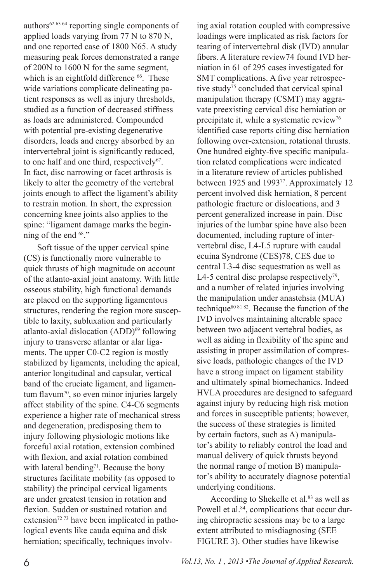authors62 63 64 reporting single components of applied loads varying from 77 N to 870 N, and one reported case of 1800 N65. A study measuring peak forces demonstrated a range of 200N to 1600 N for the same segment, which is an eightfold difference <sup>66</sup>. These wide variations complicate delineating patient responses as well as injury thresholds, studied as a function of decreased stiffness as loads are administered. Compounded with potential pre-existing degenerative disorders, loads and energy absorbed by an intervertebral joint is significantly reduced, to one half and one third, respectively<sup>67</sup>. In fact, disc narrowing or facet arthrosis is likely to alter the geometry of the vertebral joints enough to affect the ligament's ability to restrain motion. In short, the expression concerning knee joints also applies to the spine: "ligament damage marks the beginning of the end  $68$ ."

Soft tissue of the upper cervical spine (CS) is functionally more vulnerable to quick thrusts of high magnitude on account of the atlanto-axial joint anatomy. With little osseous stability, high functional demands are placed on the supporting ligamentous structures, rendering the region more susceptible to laxity, subluxation and particularly atlanto-axial dislocation (ADD)<sup>69</sup> following injury to transverse atlantar or alar ligaments. The upper C0-C2 region is mostly stabilized by ligaments, including the apical, anterior longitudinal and capsular, vertical band of the cruciate ligament, and ligamentum flavum<sup>70</sup>, so even minor injuries largely affect stability of the spine. C4-C6 segments experience a higher rate of mechanical stress and degeneration, predisposing them to injury following physiologic motions like forceful axial rotation, extension combined with flexion, and axial rotation combined with lateral bending<sup>71</sup>. Because the bony structures facilitate mobility (as opposed to stability) the principal cervical ligaments are under greatest tension in rotation and flexion. Sudden or sustained rotation and extension<sup>72 73</sup> have been implicated in pathological events like cauda equina and disk herniation; specifically, techniques involv-

ing axial rotation coupled with compressive loadings were implicated as risk factors for tearing of intervertebral disk (IVD) annular fibers. A literature review74 found IVD herniation in 61 of 295 cases investigated for SMT complications. A five year retrospective study<sup>75</sup> concluded that cervical spinal manipulation therapy (CSMT) may aggravate preexisting cervical disc herniation or precipitate it, while a systematic review<sup>76</sup> identified case reports citing disc herniation following over-extension, rotational thrusts. One hundred eighty-five specific manipulation related complications were indicated in a literature review of articles published between 1925 and 1993<sup>77</sup>. Approximately 12 percent involved disk herniation, 8 percent pathologic fracture or dislocations, and 3 percent generalized increase in pain. Disc injuries of the lumbar spine have also been documented, including rupture of intervertebral disc, L4-L5 rupture with caudal ecuina Syndrome (CES)78, CES due to central L3-4 disc sequestration as well as L4-5 central disc prolapse respectively<sup>79</sup>, and a number of related injuries involving the manipulation under anastehsia (MUA) technique $80 81 82$ . Because the function of the IVD involves maintaining alterable space between two adjacent vertebral bodies, as well as aiding in flexibility of the spine and assisting in proper assimilation of compressive loads, pathologic changes of the IVD have a strong impact on ligament stability and ultimately spinal biomechanics. Indeed HVLA procedures are designed to safeguard against injury by reducing high risk motion and forces in susceptible patients; however, the success of these strategies is limited by certain factors, such as A) manipulator's ability to reliably control the load and manual delivery of quick thrusts beyond the normal range of motion B) manipulator's ability to accurately diagnose potential underlying conditions.

According to Shekelle et al.<sup>83</sup> as well as Powell et al.<sup>84</sup>, complications that occur during chiropractic sessions may be to a large extent attributed to misdiagnosing (SEE FIGURE 3). Other studies have likewise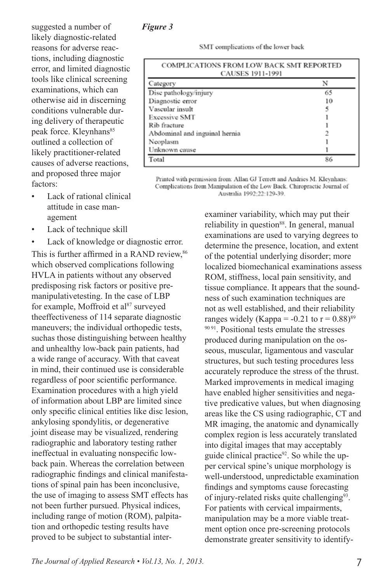#### *Figure 3*

suggested a number of likely diagnostic-related reasons for adverse reactions, including diagnostic error, and limited diagnostic tools like clinical screening examinations, which can otherwise aid in discerning conditions vulnerable during delivery of therapeutic peak force. Kleynhans<sup>85</sup> outlined a collection of likely practitioner-related causes of adverse reactions, and proposed three major factors:

- Lack of rational clinical attitude in case management
- Lack of technique skill
- Lack of knowledge or diagnostic error.

This is further affirmed in a RAND review,  $86$ which observed complications following HVLA in patients without any observed predisposing risk factors or positive premanipulativetesting. In the case of LBP for example, Moffroid et al<sup>87</sup> surveyed theeffectiveness of 114 separate diagnostic maneuvers; the individual orthopedic tests, suchas those distinguishing between healthy and unhealthy low-back pain patients, had a wide range of accuracy. With that caveat in mind, their continued use is considerable regardless of poor scientific performance. Examination procedures with a high yield of information about LBP are limited since only specific clinical entities like disc lesion, ankylosing spondylitis, or degenerative joint disease may be visualized, rendering radiographic and laboratory testing rather ineffectual in evaluating nonspecific lowback pain. Whereas the correlation between radiographic findings and clinical manifestations of spinal pain has been inconclusive, the use of imaging to assess SMT effects has not been further pursued. Physical indices, including range of motion (ROM), palpitation and orthopedic testing results have proved to be subject to substantial interSMT complications of the lower back

| <b>COMPLICATIONS FROM LOW BACK SMT REPORTED</b><br><b>CAUSES 1911-1991</b> |    |
|----------------------------------------------------------------------------|----|
| Category                                                                   |    |
| Disc pathology/injury                                                      | 65 |
| Diagnostic error                                                           | 10 |
| Vascular insult                                                            | 5  |
| <b>Excessive SMT</b>                                                       |    |
| Rib fracture                                                               |    |
| Abdominal and inguinal hernia                                              |    |
| Neoplasm                                                                   |    |
| Unknown cause                                                              |    |
| Total                                                                      | 86 |

Printed with permission from: Allan GJ Terrett and Andries M. Kleynhans: Complications from Manipulation of the Low Back. Chiropractic Journal of Australia 1992;22:129-39.

> examiner variability, which may put their reliability in question<sup>88</sup>. In general, manual examinations are used to varying degrees to determine the presence, location, and extent of the potential underlying disorder; more localized biomechanical examinations assess ROM, stiffness, local pain sensitivity, and tissue compliance. It appears that the soundness of such examination techniques are not as well established, and their reliability ranges widely (Kappa =  $-0.21$  to  $r = 0.88$ )<sup>89</sup> <sup>90 91</sup>. Positional tests emulate the stresses produced during manipulation on the osseous, muscular, ligamentous and vascular structures, but such testing procedures less accurately reproduce the stress of the thrust. Marked improvements in medical imaging have enabled higher sensitivities and negative predicative values, but when diagnosing areas like the CS using radiographic, CT and MR imaging, the anatomic and dynamically complex region is less accurately translated into digital images that may acceptably guide clinical practice $92$ . So while the upper cervical spine's unique morphology is well-understood, unpredictable examination findings and symptoms cause forecasting of injury-related risks quite challenging<sup>93</sup>. For patients with cervical impairments, manipulation may be a more viable treatment option once pre-screening protocols demonstrate greater sensitivity to identify-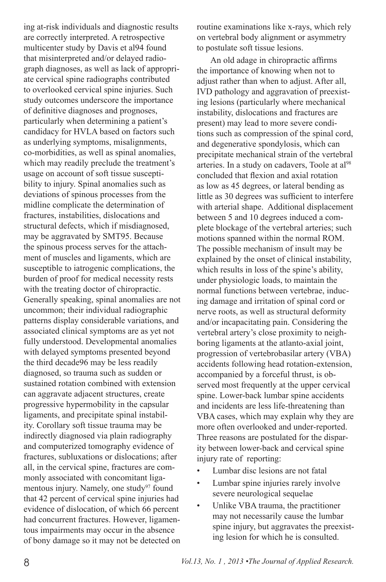ing at-risk individuals and diagnostic results are correctly interpreted. A retrospective multicenter study by Davis et al94 found that misinterpreted and/or delayed radiograph diagnoses, as well as lack of appropriate cervical spine radiographs contributed to overlooked cervical spine injuries. Such study outcomes underscore the importance of definitive diagnoses and prognoses, particularly when determining a patient's candidacy for HVLA based on factors such as underlying symptoms, misalignments, co-morbidities, as well as spinal anomalies, which may readily preclude the treatment's usage on account of soft tissue susceptibility to injury. Spinal anomalies such as deviations of spinous processes from the midline complicate the determination of fractures, instabilities, dislocations and structural defects, which if misdiagnosed, may be aggravated by SMT95. Because the spinous process serves for the attachment of muscles and ligaments, which are susceptible to iatrogenic complications, the burden of proof for medical necessity rests with the treating doctor of chiropractic. Generally speaking, spinal anomalies are not uncommon; their individual radiographic patterns display considerable variations, and associated clinical symptoms are as yet not fully understood. Developmental anomalies with delayed symptoms presented beyond the third decade96 may be less readily diagnosed, so trauma such as sudden or sustained rotation combined with extension can aggravate adjacent structures, create progressive hypermobility in the capsular ligaments, and precipitate spinal instability. Corollary soft tissue trauma may be indirectly diagnosed via plain radiography and computerized tomography evidence of fractures, subluxations or dislocations; after all, in the cervical spine, fractures are commonly associated with concomitant ligamentous injury. Namely, one study<sup>97</sup> found that 42 percent of cervical spine injuries had evidence of dislocation, of which 66 percent had concurrent fractures. However, ligamentous impairments may occur in the absence of bony damage so it may not be detected on routine examinations like x-rays, which rely on vertebral body alignment or asymmetry to postulate soft tissue lesions.

An old adage in chiropractic affirms the importance of knowing when not to adjust rather than when to adjust. After all, IVD pathology and aggravation of preexisting lesions (particularly where mechanical instability, dislocations and fractures are present) may lead to more severe conditions such as compression of the spinal cord, and degenerative spondylosis, which can precipitate mechanical strain of the vertebral arteries. In a study on cadavers, Toole at al<sup>98</sup> concluded that flexion and axial rotation as low as 45 degrees, or lateral bending as little as 30 degrees was sufficient to interfere with arterial shape. Additional displacement between 5 and 10 degrees induced a complete blockage of the vertebral arteries; such motions spanned within the normal ROM. The possible mechanism of insult may be explained by the onset of clinical instability, which results in loss of the spine's ability, under physiologic loads, to maintain the normal functions between vertebrae, inducing damage and irritation of spinal cord or nerve roots, as well as structural deformity and/or incapacitating pain. Considering the vertebral artery's close proximity to neighboring ligaments at the atlanto-axial joint, progression of vertebrobasilar artery (VBA) accidents following head rotation-extension, accompanied by a forceful thrust, is observed most frequently at the upper cervical spine. Lower-back lumbar spine accidents and incidents are less life-threatening than VBA cases, which may explain why they are more often overlooked and under-reported. Three reasons are postulated for the disparity between lower-back and cervical spine injury rate of reporting:

- Lumbar disc lesions are not fatal
- Lumbar spine injuries rarely involve severe neurological sequelae
- Unlike VBA trauma, the practitioner may not necessarily cause the lumbar spine injury, but aggravates the preexisting lesion for which he is consulted.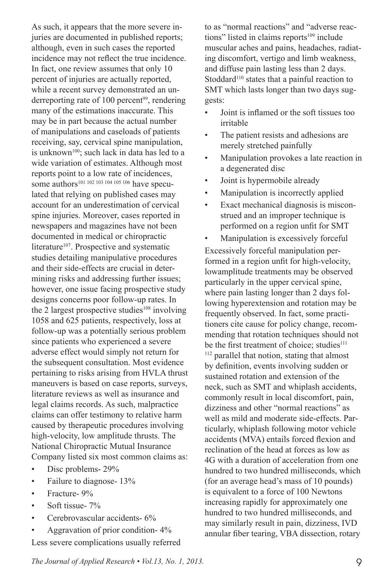As such, it appears that the more severe injuries are documented in published reports; although, even in such cases the reported incidence may not reflect the true incidence. In fact, one review assumes that only 10 percent of injuries are actually reported, while a recent survey demonstrated an underreporting rate of 100 percent<sup>99</sup>, rendering many of the estimations inaccurate. This may be in part because the actual number of manipulations and caseloads of patients receiving, say, cervical spine manipulation, is unknown<sup>100</sup>; such lack in data has led to a wide variation of estimates. Although most reports point to a low rate of incidences, some authors<sup>101 102 103 104 105 106</sup> have speculated that relying on published cases may account for an underestimation of cervical spine injuries. Moreover, cases reported in newspapers and magazines have not been documented in medical or chiropractic literature<sup>107</sup>. Prospective and systematic studies detailing manipulative procedures and their side-effects are crucial in determining risks and addressing further issues; however, one issue facing prospective study designs concerns poor follow-up rates. In the 2 largest prospective studies<sup>108</sup> involving 1058 and 625 patients, respectively, loss at follow-up was a potentially serious problem since patients who experienced a severe adverse effect would simply not return for the subsequent consultation. Most evidence pertaining to risks arising from HVLA thrust maneuvers is based on case reports, surveys, literature reviews as well as insurance and legal claims records. As such, malpractice claims can offer testimony to relative harm caused by therapeutic procedures involving high-velocity, low amplitude thrusts. The National Chiropractic Mutual Insurance Company listed six most common claims as:

- Disc problems- 29%
- Failure to diagnose- 13%
- Fracture- 9%
- Soft tissue-  $7\%$
- Cerebrovascular accidents- 6%
- Aggravation of prior condition- 4%

Less severe complications usually referred

to as "normal reactions" and "adverse reactions" listed in claims reports<sup>109</sup> include muscular aches and pains, headaches, radiating discomfort, vertigo and limb weakness, and diffuse pain lasting less than 2 days. Stoddard<sup>110</sup> states that a painful reaction to SMT which lasts longer than two days suggests:

- Joint is inflamed or the soft tissues too irritable
- The patient resists and adhesions are merely stretched painfully
- Manipulation provokes a late reaction in a degenerated disc
- Joint is hypermobile already
- Manipulation is incorrectly applied
- Exact mechanical diagnosis is misconstrued and an improper technique is performed on a region unfit for SMT
- Manipulation is excessively forceful

Excessively forceful manipulation performed in a region unfit for high-velocity, lowamplitude treatments may be observed particularly in the upper cervical spine, where pain lasting longer than 2 days following hyperextension and rotation may be frequently observed. In fact, some practitioners cite cause for policy change, recommending that rotation techniques should not be the first treatment of choice; studies<sup>111</sup> 112 parallel that notion, stating that almost by definition, events involving sudden or sustained rotation and extension of the neck, such as SMT and whiplash accidents, commonly result in local discomfort, pain, dizziness and other "normal reactions" as well as mild and moderate side-effects. Particularly, whiplash following motor vehicle accidents (MVA) entails forced flexion and reclination of the head at forces as low as 4G with a duration of acceleration from one hundred to two hundred milliseconds, which (for an average head's mass of 10 pounds) is equivalent to a force of 100 Newtons increasing rapidly for approximately one hundred to two hundred milliseconds, and may similarly result in pain, dizziness, IVD annular fiber tearing, VBA dissection, rotary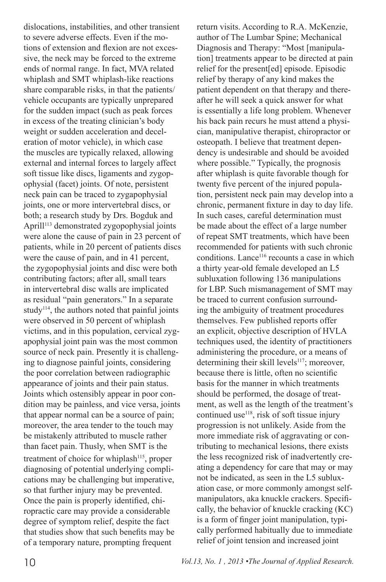dislocations, instabilities, and other transient to severe adverse effects. Even if the motions of extension and flexion are not excessive, the neck may be forced to the extreme ends of normal range. In fact, MVA related whiplash and SMT whiplash-like reactions share comparable risks, in that the patients/ vehicle occupants are typically unprepared for the sudden impact (such as peak forces in excess of the treating clinician's body weight or sudden acceleration and deceleration of motor vehicle), in which case the muscles are typically relaxed, allowing external and internal forces to largely affect soft tissue like discs, ligaments and zygopophysial (facet) joints. Of note, persistent neck pain can be traced to zygapophysial joints, one or more intervertebral discs, or both; a research study by Drs. Bogduk and Aprill<sup>113</sup> demonstrated zygopophysial joints were alone the cause of pain in 23 percent of patients, while in 20 percent of patients discs were the cause of pain, and in 41 percent, the zygopophysial joints and disc were both contributing factors; after all, small tears in intervertebral disc walls are implicated as residual "pain generators." In a separate study<sup>114</sup>, the authors noted that painful joints were observed in 50 percent of whiplash victims, and in this population, cervical zygapophysial joint pain was the most common source of neck pain. Presently it is challenging to diagnose painful joints, considering the poor correlation between radiographic appearance of joints and their pain status. Joints which ostensibly appear in poor condition may be painless, and vice versa, joints that appear normal can be a source of pain; moreover, the area tender to the touch may be mistakenly attributed to muscle rather than facet pain. Thusly, when SMT is the treatment of choice for whiplash<sup>115</sup>, proper diagnosing of potential underlying complications may be challenging but imperative, so that further injury may be prevented. Once the pain is properly identified, chiropractic care may provide a considerable degree of symptom relief, despite the fact that studies show that such benefits may be of a temporary nature, prompting frequent

return visits. According to R.A. McKenzie, author of The Lumbar Spine; Mechanical Diagnosis and Therapy: "Most [manipulation] treatments appear to be directed at pain relief for the present[ed] episode. Episodic relief by therapy of any kind makes the patient dependent on that therapy and thereafter he will seek a quick answer for what is essentially a life long problem. Whenever his back pain recurs he must attend a physician, manipulative therapist, chiropractor or osteopath. I believe that treatment dependency is undesirable and should be avoided where possible." Typically, the prognosis after whiplash is quite favorable though for twenty five percent of the injured population, persistent neck pain may develop into a chronic, permanent fixture in day to day life. In such cases, careful determination must be made about the effect of a large number of repeat SMT treatments, which have been recommended for patients with such chronic conditions. Lance<sup>116</sup> recounts a case in which a thirty year-old female developed an L5 subluxation following 136 manipulations for LBP. Such mismanagement of SMT may be traced to current confusion surrounding the ambiguity of treatment procedures themselves. Few published reports offer an explicit, objective description of HVLA techniques used, the identity of practitioners administering the procedure, or a means of determining their skill levels $117$ ; moreover, because there is little, often no scientific basis for the manner in which treatments should be performed, the dosage of treatment, as well as the length of the treatment's continued use<sup>118</sup>, risk of soft tissue injury progression is not unlikely. Aside from the more immediate risk of aggravating or contributing to mechanical lesions, there exists the less recognized risk of inadvertently creating a dependency for care that may or may not be indicated, as seen in the L5 subluxation case, or more commonly amongst selfmanipulators, aka knuckle crackers. Specifically, the behavior of knuckle cracking (KC) is a form of finger joint manipulation, typically performed habitually due to immediate relief of joint tension and increased joint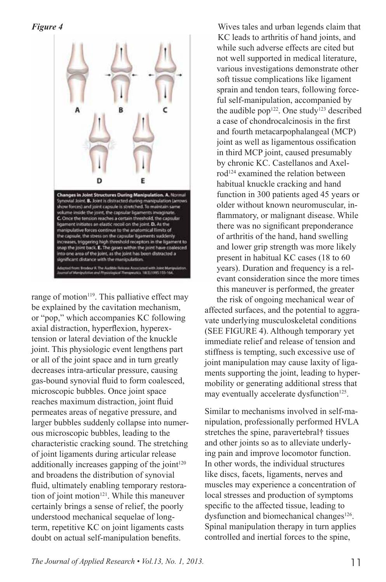*Figure 4*



range of motion<sup>119</sup>. This palliative effect may be explained by the cavitation mechanism, or "pop," which accompanies KC following axial distraction, hyperflexion, hyperextension or lateral deviation of the knuckle joint. This physiologic event lengthens part or all of the joint space and in turn greatly decreases intra-articular pressure, causing gas-bound synovial fluid to form coalesced, microscopic bubbles. Once joint space reaches maximum distraction, joint fluid permeates areas of negative pressure, and larger bubbles suddenly collapse into numerous microscopic bubbles, leading to the characteristic cracking sound. The stretching of joint ligaments during articular release additionally increases gapping of the joint $120$ and broadens the distribution of synovial fluid, ultimately enabling temporary restoration of joint motion<sup>121</sup>. While this maneuver certainly brings a sense of relief, the poorly understood mechanical sequelae of longterm, repetitive KC on joint ligaments casts doubt on actual self-manipulation benefits.

Wives tales and urban legends claim that KC leads to arthritis of hand joints, and while such adverse effects are cited but not well supported in medical literature, various investigations demonstrate other soft tissue complications like ligament sprain and tendon tears, following forceful self-manipulation, accompanied by the audible pop<sup>122</sup>. One study<sup>123</sup> described a case of chondrocalcinosis in the first and fourth metacarpophalangeal (MCP) joint as well as ligamentous ossification in third MCP joint, caused presumably by chronic KC. Castellanos and Axelrod<sup>124</sup> examined the relation between habitual knuckle cracking and hand function in 300 patients aged 45 years or older without known neuromuscular, inflammatory, or malignant disease. While there was no significant preponderance of arthritis of the hand, hand swelling and lower grip strength was more likely present in habitual KC cases (18 to 60 years). Duration and frequency is a relevant consideration since the more times this maneuver is performed, the greater the risk of ongoing mechanical wear of

affected surfaces, and the potential to aggravate underlying musculoskeletal conditions (SEE FIGURE 4). Although temporary yet immediate relief and release of tension and stiffness is tempting, such excessive use of joint manipulation may cause laxity of ligaments supporting the joint, leading to hypermobility or generating additional stress that may eventually accelerate dysfunction<sup>125</sup>.

Similar to mechanisms involved in self-manipulation, professionally performed HVLA stretches the spine, paravertebral† tissues and other joints so as to alleviate underlying pain and improve locomotor function. In other words, the individual structures like discs, facets, ligaments, nerves and muscles may experience a concentration of local stresses and production of symptoms specific to the affected tissue, leading to dysfunction and biomechanical changes<sup>126</sup>. Spinal manipulation therapy in turn applies controlled and inertial forces to the spine,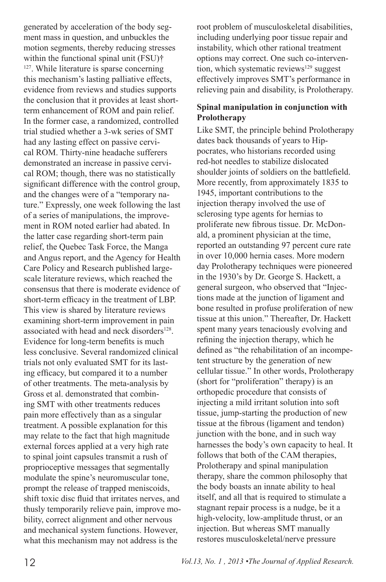generated by acceleration of the body segment mass in question, and unbuckles the motion segments, thereby reducing stresses within the functional spinal unit (FSU)† 127. While literature is sparse concerning this mechanism's lasting palliative effects, evidence from reviews and studies supports the conclusion that it provides at least shortterm enhancement of ROM and pain relief. In the former case, a randomized, controlled trial studied whether a 3-wk series of SMT had any lasting effect on passive cervical ROM. Thirty-nine headache sufferers demonstrated an increase in passive cervical ROM; though, there was no statistically significant difference with the control group, and the changes were of a "temporary nature." Expressly, one week following the last of a series of manipulations, the improvement in ROM noted earlier had abated. In the latter case regarding short-term pain relief, the Quebec Task Force, the Manga and Angus report, and the Agency for Health Care Policy and Research published largescale literature reviews, which reached the consensus that there is moderate evidence of short-term efficacy in the treatment of LBP. This view is shared by literature reviews examining short-term improvement in pain associated with head and neck disorders<sup>128</sup>. Evidence for long-term benefits is much less conclusive. Several randomized clinical trials not only evaluated SMT for its lasting efficacy, but compared it to a number of other treatments. The meta-analysis by Gross et al. demonstrated that combining SMT with other treatments reduces pain more effectively than as a singular treatment. A possible explanation for this may relate to the fact that high magnitude external forces applied at a very high rate to spinal joint capsules transmit a rush of proprioceptive messages that segmentally modulate the spine's neuromuscular tone, prompt the release of trapped meniscoids, shift toxic disc fluid that irritates nerves, and thusly temporarily relieve pain, improve mobility, correct alignment and other nervous and mechanical system functions. However, what this mechanism may not address is the

root problem of musculoskeletal disabilities, including underlying poor tissue repair and instability, which other rational treatment options may correct. One such co-intervention, which systematic reviews<sup>129</sup> suggest effectively improves SMT's performance in relieving pain and disability, is Prolotherapy.

#### **Spinal manipulation in conjunction with Prolotherapy**

Like SMT, the principle behind Prolotherapy dates back thousands of years to Hippocrates, who historians recorded using red-hot needles to stabilize dislocated shoulder joints of soldiers on the battlefield. More recently, from approximately 1835 to 1945, important contributions to the injection therapy involved the use of sclerosing type agents for hernias to proliferate new fibrous tissue. Dr. McDonald, a prominent physician at the time, reported an outstanding 97 percent cure rate in over 10,000 hernia cases. More modern day Prolotherapy techniques were pioneered in the 1930's by Dr. George S. Hackett, a general surgeon, who observed that "Injections made at the junction of ligament and bone resulted in profuse proliferation of new tissue at this union." Thereafter, Dr. Hackett spent many years tenaciously evolving and refining the injection therapy, which he defined as "the rehabilitation of an incompetent structure by the generation of new cellular tissue." In other words, Prolotherapy (short for "proliferation" therapy) is an orthopedic procedure that consists of injecting a mild irritant solution into soft tissue, jump-starting the production of new tissue at the fibrous (ligament and tendon) junction with the bone, and in such way harnesses the body's own capacity to heal. It follows that both of the CAM therapies, Prolotherapy and spinal manipulation therapy, share the common philosophy that the body boasts an innate ability to heal itself, and all that is required to stimulate a stagnant repair process is a nudge, be it a high-velocity, low-amplitude thrust, or an injection. But whereas SMT manually restores musculoskeletal/nerve pressure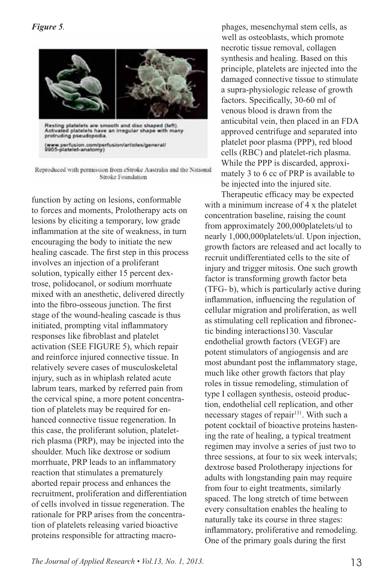

Reproduced with permission from eStroke Australia and the National Stroke Foundation

function by acting on lesions, conformable to forces and moments, Prolotherapy acts on lesions by eliciting a temporary, low grade inflammation at the site of weakness, in turn encouraging the body to initiate the new healing cascade. The first step in this process involves an injection of a proliferant solution, typically either 15 percent dextrose, polidocanol, or sodium morrhuate mixed with an anesthetic, delivered directly into the fibro-osseous junction. The first stage of the wound-healing cascade is thus initiated, prompting vital inflammatory responses like fibroblast and platelet activation (SEE FIGURE 5), which repair and reinforce injured connective tissue. In relatively severe cases of musculoskeletal injury, such as in whiplash related acute labrum tears, marked by referred pain from the cervical spine, a more potent concentration of platelets may be required for enhanced connective tissue regeneration. In this case, the proliferant solution, plateletrich plasma (PRP), may be injected into the shoulder. Much like dextrose or sodium morrhuate, PRP leads to an inflammatory reaction that stimulates a prematurely aborted repair process and enhances the recruitment, proliferation and differentiation of cells involved in tissue regeneration. The rationale for PRP arises from the concentration of platelets releasing varied bioactive proteins responsible for attracting macro-

phages, mesenchymal stem cells, as well as osteoblasts, which promote necrotic tissue removal, collagen synthesis and healing. Based on this principle, platelets are injected into the damaged connective tissue to stimulate a supra-physiologic release of growth factors. Specifically, 30-60 ml of venous blood is drawn from the anticubital vein, then placed in an FDA approved centrifuge and separated into platelet poor plasma (PPP), red blood cells (RBC) and platelet-rich plasma. While the PPP is discarded, approximately 3 to 6 cc of PRP is available to be injected into the injured site.

Therapeutic efficacy may be expected with a minimum increase of 4 x the platelet concentration baseline, raising the count from approximately 200,000platelets/ul to nearly 1,000,000platelets/ul. Upon injection, growth factors are released and act locally to recruit undifferentiated cells to the site of injury and trigger mitosis. One such growth factor is transforming growth factor beta (TFG- b), which is particularly active during inflammation, influencing the regulation of cellular migration and proliferation, as well as stimulating cell replication and fibronectic binding interactions130. Vascular endothelial growth factors (VEGF) are potent stimulators of angiogensis and are most abundant post the inflammatory stage, much like other growth factors that play roles in tissue remodeling, stimulation of type I collagen synthesis, osteoid production, endothelial cell replication, and other necessary stages of repair<sup>131</sup>. With such a potent cocktail of bioactive proteins hastening the rate of healing, a typical treatment regimen may involve a series of just two to three sessions, at four to six week intervals; dextrose based Prolotherapy injections for adults with longstanding pain may require from four to eight treatments, similarly spaced. The long stretch of time between every consultation enables the healing to naturally take its course in three stages: inflammatory, proliferative and remodeling. One of the primary goals during the first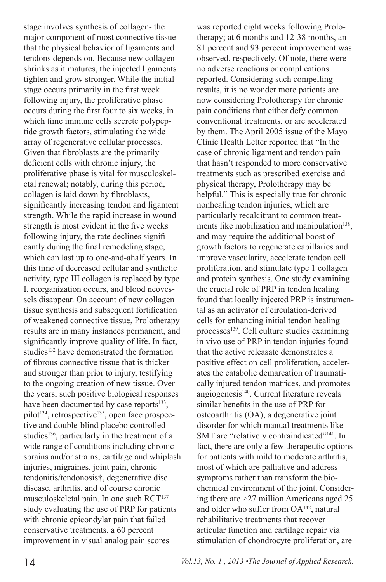stage involves synthesis of collagen- the major component of most connective tissue that the physical behavior of ligaments and tendons depends on. Because new collagen shrinks as it matures, the injected ligaments tighten and grow stronger. While the initial stage occurs primarily in the first week following injury, the proliferative phase occurs during the first four to six weeks, in which time immune cells secrete polypeptide growth factors, stimulating the wide array of regenerative cellular processes. Given that fibroblasts are the primarily deficient cells with chronic injury, the proliferative phase is vital for musculoskeletal renewal; notably, during this period, collagen is laid down by fibroblasts, significantly increasing tendon and ligament strength. While the rapid increase in wound strength is most evident in the five weeks following injury, the rate declines significantly during the final remodeling stage, which can last up to one-and-ahalf years. In this time of decreased cellular and synthetic activity, type III collagen is replaced by type I, reorganization occurs, and blood neovessels disappear. On account of new collagen tissue synthesis and subsequent fortification of weakened connective tissue, Prolotherapy results are in many instances permanent, and significantly improve quality of life. In fact, studies132 have demonstrated the formation of fibrous connective tissue that is thicker and stronger than prior to injury, testifying to the ongoing creation of new tissue. Over the years, such positive biological responses have been documented by case reports<sup>133</sup>, pilot<sup>134</sup>, retrospective<sup>135</sup>, open face prospective and double-blind placebo controlled studies<sup>136</sup>, particularly in the treatment of a wide range of conditions including chronic sprains and/or strains, cartilage and whiplash injuries, migraines, joint pain, chronic tendonitis/tendonosis†, degenerative disc disease, arthritis, and of course chronic musculoskeletal pain. In one such RCT<sup>137</sup> study evaluating the use of PRP for patients with chronic epicondylar pain that failed conservative treatments, a 60 percent improvement in visual analog pain scores

was reported eight weeks following Prolotherapy; at 6 months and 12-38 months, an 81 percent and 93 percent improvement was observed, respectively. Of note, there were no adverse reactions or complications reported. Considering such compelling results, it is no wonder more patients are now considering Prolotherapy for chronic pain conditions that either defy common conventional treatments, or are accelerated by them. The April 2005 issue of the Mayo Clinic Health Letter reported that "In the case of chronic ligament and tendon pain that hasn't responded to more conservative treatments such as prescribed exercise and physical therapy, Prolotherapy may be helpful." This is especially true for chronic nonhealing tendon injuries, which are particularly recalcitrant to common treatments like mobilization and manipulation<sup>138</sup>, and may require the additional boost of growth factors to regenerate capillaries and improve vascularity, accelerate tendon cell proliferation, and stimulate type 1 collagen and protein synthesis. One study examining the crucial role of PRP in tendon healing found that locally injected PRP is instrumental as an activator of circulation-derived cells for enhancing initial tendon healing processes<sup>139</sup>. Cell culture studies examining in vivo use of PRP in tendon injuries found that the active releasate demonstrates a positive effect on cell proliferation, accelerates the catabolic demarcation of traumatically injured tendon matrices, and promotes angiogenesis<sup>140</sup>. Current literature reveals similar benefits in the use of PRP for osteoarthritis (OA), a degenerative joint disorder for which manual treatments like SMT are "relatively contraindicated"<sup>141</sup>. In fact, there are only a few therapeutic options for patients with mild to moderate arthritis, most of which are palliative and address symptoms rather than transform the biochemical environment of the joint. Considering there are >27 million Americans aged 25 and older who suffer from OA142, natural rehabilitative treatments that recover articular function and cartilage repair via stimulation of chondrocyte proliferation, are

14 *Vol.13, No. 1 , 2013 •The Journal of Applied Research.*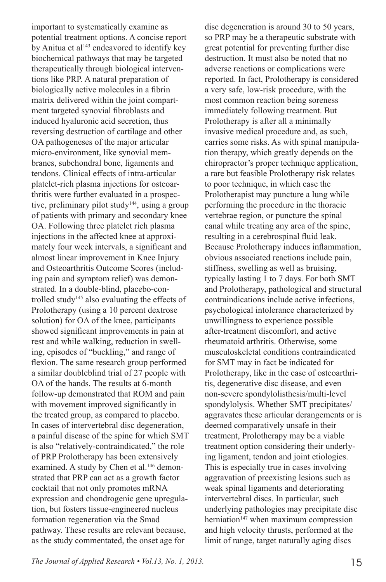important to systematically examine as potential treatment options. A concise report by Anitua et al<sup>143</sup> endeavored to identify key biochemical pathways that may be targeted therapeutically through biological interventions like PRP. A natural preparation of biologically active molecules in a fibrin matrix delivered within the joint compartment targeted synovial fibroblasts and induced hyaluronic acid secretion, thus reversing destruction of cartilage and other OA pathogeneses of the major articular micro-environment, like synovial membranes, subchondral bone, ligaments and tendons. Clinical effects of intra-articular platelet-rich plasma injections for osteoarthritis were further evaluated in a prospective, preliminary pilot study<sup>144</sup>, using a group of patients with primary and secondary knee OA. Following three platelet rich plasma injections in the affected knee at approximately four week intervals, a significant and almost linear improvement in Knee Injury and Osteoarthritis Outcome Scores (including pain and symptom relief) was demonstrated. In a double-blind, placebo-controlled study<sup>145</sup> also evaluating the effects of Prolotherapy (using a 10 percent dextrose solution) for OA of the knee, participants showed significant improvements in pain at rest and while walking, reduction in swelling, episodes of "buckling," and range of flexion. The same research group performed a similar doubleblind trial of 27 people with OA of the hands. The results at 6-month follow-up demonstrated that ROM and pain with movement improved significantly in the treated group, as compared to placebo. In cases of intervertebral disc degeneration, a painful disease of the spine for which SMT is also "relatively-contraindicated," the role of PRP Prolotherapy has been extensively examined. A study by Chen et al.<sup>146</sup> demonstrated that PRP can act as a growth factor cocktail that not only promotes mRNA expression and chondrogenic gene upregulation, but fosters tissue-engineered nucleus formation regeneration via the Smad pathway. These results are relevant because, as the study commentated, the onset age for

disc degeneration is around 30 to 50 years, so PRP may be a therapeutic substrate with great potential for preventing further disc destruction. It must also be noted that no adverse reactions or complications were reported. In fact, Prolotherapy is considered a very safe, low-risk procedure, with the most common reaction being soreness immediately following treatment. But Prolotherapy is after all a minimally invasive medical procedure and, as such, carries some risks. As with spinal manipulation therapy, which greatly depends on the chiropractor's proper technique application, a rare but feasible Prolotherapy risk relates to poor technique, in which case the Prolotherapist may puncture a lung while performing the procedure in the thoracic vertebrae region, or puncture the spinal canal while treating any area of the spine, resulting in a cerebrospinal fluid leak. Because Prolotherapy induces inflammation, obvious associated reactions include pain, stiffness, swelling as well as bruising, typically lasting 1 to 7 days. For both SMT and Prolotherapy, pathological and structural contraindications include active infections, psychological intolerance characterized by unwillingness to experience possible after-treatment discomfort, and active rheumatoid arthritis. Otherwise, some musculoskeletal conditions contraindicated for SMT may in fact be indicated for Prolotherapy, like in the case of osteoarthritis, degenerative disc disease, and even non-severe spondylolisthesis/multi-level spondylolysis. Whether SMT precipitates/ aggravates these articular derangements or is deemed comparatively unsafe in their treatment, Prolotherapy may be a viable treatment option considering their underlying ligament, tendon and joint etiologies. This is especially true in cases involving aggravation of preexisting lesions such as weak spinal ligaments and deteriorating intervertebral discs. In particular, such underlying pathologies may precipitate disc herniation<sup>147</sup> when maximum compression and high velocity thrusts, performed at the limit of range, target naturally aging discs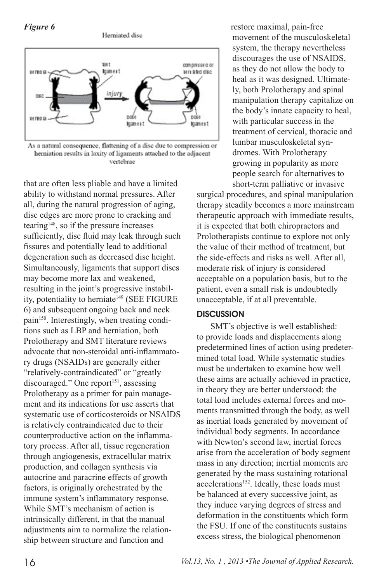*Figure 6*



As a natural consequence, flattening of a disc due to compression or herniation results in laxity of ligaments attached to the adjacent vertebrae

that are often less pliable and have a limited ability to withstand normal pressures. After all, during the natural progression of aging, disc edges are more prone to cracking and tearing148, so if the pressure increases sufficiently, disc fluid may leak through such fissures and potentially lead to additional degeneration such as decreased disc height. Simultaneously, ligaments that support discs may become more lax and weakened, resulting in the joint's progressive instability, potentiality to herniate<sup>149</sup> (SEE FIGURE 6) and subsequent ongoing back and neck pain<sup>150</sup>. Interestingly, when treating conditions such as LBP and herniation, both Prolotherapy and SMT literature reviews advocate that non-steroidal anti-inflammatory drugs (NSAIDs) are generally either "relatively-contraindicated" or "greatly discouraged." One report<sup>151</sup>, assessing Prolotherapy as a primer for pain management and its indications for use asserts that systematic use of corticosteroids or NSAIDS is relatively contraindicated due to their counterproductive action on the inflammatory process. After all, tissue regeneration through angiogenesis, extracellular matrix production, and collagen synthesis via autocrine and paracrine effects of growth factors, is originally orchestrated by the immune system's inflammatory response. While SMT's mechanism of action is intrinsically different, in that the manual adjustments aim to normalize the relationship between structure and function and

restore maximal, pain-free movement of the musculoskeletal system, the therapy nevertheless discourages the use of NSAIDS, as they do not allow the body to heal as it was designed. Ultimately, both Prolotherapy and spinal manipulation therapy capitalize on the body's innate capacity to heal, with particular success in the treatment of cervical, thoracic and lumbar musculoskeletal syndromes. With Prolotherapy growing in popularity as more people search for alternatives to short-term palliative or invasive

surgical procedures, and spinal manipulation therapy steadily becomes a more mainstream therapeutic approach with immediate results, it is expected that both chiropractors and Prolotherapists continue to explore not only the value of their method of treatment, but the side-effects and risks as well. After all, moderate risk of injury is considered acceptable on a population basis, but to the patient, even a small risk is undoubtedly unacceptable, if at all preventable.

#### **DISCUSSION**

SMT's objective is well established: to provide loads and displacements along predetermined lines of action using predetermined total load. While systematic studies must be undertaken to examine how well these aims are actually achieved in practice, in theory they are better understood: the total load includes external forces and moments transmitted through the body, as well as inertial loads generated by movement of individual body segments. In accordance with Newton's second law, inertial forces arise from the acceleration of body segment mass in any direction; inertial moments are generated by the mass sustaining rotational accelerations<sup>152</sup>. Ideally, these loads must be balanced at every successive joint, as they induce varying degrees of stress and deformation in the constituents which form the FSU. If one of the constituents sustains excess stress, the biological phenomenon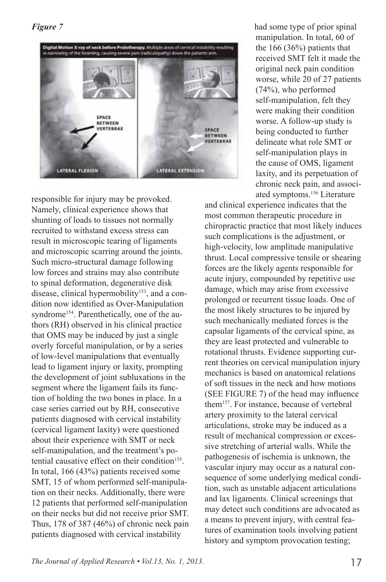#### *Figure 7*



responsible for injury may be provoked. Namely, clinical experience shows that shunting of loads to tissues not normally recruited to withstand excess stress can result in microscopic tearing of ligaments and microscopic scarring around the joints. Such micro-structural damage following low forces and strains may also contribute to spinal deformation, degenerative disk disease, clinical hypermobility<sup>153</sup>, and a condition now identified as Over-Manipulation syndrome<sup>154</sup>. Parenthetically, one of the authors (RH) observed in his clinical practice that OMS may be induced by just a single overly forceful manipulation, or by a series of low-level manipulations that eventually lead to ligament injury or laxity, prompting the development of joint subluxations in the segment where the ligament fails its function of holding the two bones in place. In a case series carried out by RH, consecutive patients diagnosed with cervical instability (cervical ligament laxity) were questioned about their experience with SMT or neck self-manipulation, and the treatment's potential causative effect on their condition $155$ . In total, 166 (43%) patients received some SMT, 15 of whom performed self-manipulation on their necks. Additionally, there were 12 patients that performed self-manipulation on their necks but did not receive prior SMT. Thus, 178 of 387 (46%) of chronic neck pain patients diagnosed with cervical instability

had some type of prior spinal manipulation. In total, 60 of the 166 (36%) patients that received SMT felt it made the original neck pain condition worse, while 20 of 27 patients (74%), who performed self-manipulation, felt they were making their condition worse. A follow-up study is being conducted to further delineate what role SMT or self-manipulation plays in the cause of OMS, ligament laxity, and its perpetuation of chronic neck pain, and associated symptoms.156 Literature

and clinical experience indicates that the most common therapeutic procedure in chiropractic practice that most likely induces such complications is the adjustment, or high-velocity, low amplitude manipulative thrust. Local compressive tensile or shearing forces are the likely agents responsible for acute injury, compounded by repetitive use damage, which may arise from excessive prolonged or recurrent tissue loads. One of the most likely structures to be injured by such mechanically mediated forces is the capsular ligaments of the cervical spine, as they are least protected and vulnerable to rotational thrusts. Evidence supporting current theories on cervical manipulation injury mechanics is based on anatomical relations of soft tissues in the neck and how motions (SEE FIGURE 7) of the head may influence them157. For instance, because of vertebral artery proximity to the lateral cervical articulations, stroke may be induced as a result of mechanical compression or excessive stretching of arterial walls. While the pathogenesis of ischemia is unknown, the vascular injury may occur as a natural consequence of some underlying medical condition, such as unstable adjacent articulations and lax ligaments. Clinical screenings that may detect such conditions are advocated as a means to prevent injury, with central features of examination tools involving patient history and symptom provocation testing;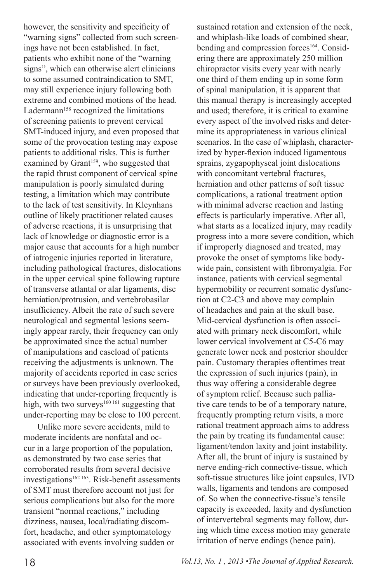however, the sensitivity and specificity of "warning signs" collected from such screenings have not been established. In fact, patients who exhibit none of the "warning signs", which can otherwise alert clinicians to some assumed contraindication to SMT, may still experience injury following both extreme and combined motions of the head. Ladermann<sup>158</sup> recognized the limitations of screening patients to prevent cervical SMT-induced injury, and even proposed that some of the provocation testing may expose patients to additional risks. This is further examined by Grant<sup>159</sup>, who suggested that the rapid thrust component of cervical spine manipulation is poorly simulated during testing, a limitation which may contribute to the lack of test sensitivity. In Kleynhans outline of likely practitioner related causes of adverse reactions, it is unsurprising that lack of knowledge or diagnostic error is a major cause that accounts for a high number of iatrogenic injuries reported in literature, including pathological fractures, dislocations in the upper cervical spine following rupture of transverse atlantal or alar ligaments, disc herniation/protrusion, and vertebrobasilar insufficiency. Albeit the rate of such severe neurological and segmental lesions seemingly appear rarely, their frequency can only be approximated since the actual number of manipulations and caseload of patients receiving the adjustments is unknown. The majority of accidents reported in case series or surveys have been previously overlooked, indicating that under-reporting frequently is high, with two surveys<sup>160 161</sup> suggesting that under-reporting may be close to 100 percent.

Unlike more severe accidents, mild to moderate incidents are nonfatal and occur in a large proportion of the population, as demonstrated by two case series that corroborated results from several decisive  $investigations<sup>162 163</sup>$ . Risk-benefit assessments of SMT must therefore account not just for serious complications but also for the more transient "normal reactions," including dizziness, nausea, local/radiating discomfort, headache, and other symptomatology associated with events involving sudden or

sustained rotation and extension of the neck, and whiplash-like loads of combined shear, bending and compression forces<sup>164</sup>. Considering there are approximately 250 million chiropractor visits every year with nearly one third of them ending up in some form of spinal manipulation, it is apparent that this manual therapy is increasingly accepted and used; therefore, it is critical to examine every aspect of the involved risks and determine its appropriateness in various clinical scenarios. In the case of whiplash, characterized by hyper-flexion induced ligamentous sprains, zygapophyseal joint dislocations with concomitant vertebral fractures herniation and other patterns of soft tissue complications, a rational treatment option with minimal adverse reaction and lasting effects is particularly imperative. After all, what starts as a localized injury, may readily progress into a more severe condition, which if improperly diagnosed and treated, may provoke the onset of symptoms like bodywide pain, consistent with fibromyalgia. For instance, patients with cervical segmental hypermobility or recurrent somatic dysfunction at C2-C3 and above may complain of headaches and pain at the skull base. Mid-cervical dysfunction is often associated with primary neck discomfort, while lower cervical involvement at C5-C6 may generate lower neck and posterior shoulder pain. Customary therapies oftentimes treat the expression of such injuries (pain), in thus way offering a considerable degree of symptom relief. Because such palliative care tends to be of a temporary nature, frequently prompting return visits, a more rational treatment approach aims to address the pain by treating its fundamental cause: ligament/tendon laxity and joint instability. After all, the brunt of injury is sustained by nerve ending-rich connective-tissue, which soft-tissue structures like joint capsules, IVD walls, ligaments and tendons are composed of. So when the connective-tissue's tensile capacity is exceeded, laxity and dysfunction of intervertebral segments may follow, during which time excess motion may generate irritation of nerve endings (hence pain).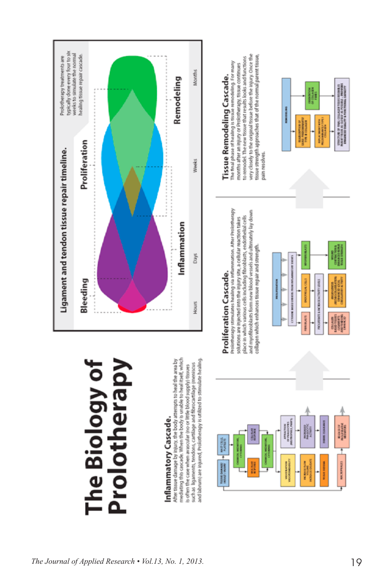

## Prolotherapy The Biology of

# Inflammatory Cascade.

mediating this cascade. When the body is unable to heal itself, which After tissue damage by injury, the body attempts to heal the area by and labrum) are injured, Prolotherapy is utilized to stimulate healing such as ligaments, tendons, cartilage and fibrocartilage (meniscus is often the case when avascular (no or little blood supply) tissues



明治学 生

TESTING CAMANDER

and myofibroblasts form new blood vessels and ultimately lay down solutions are injected into the injury site, a cellular reaction takes place in which various cells including fibroblasts, endothelial cells collagen which enhances tissue repair and strength.



ROPHIS, PARTS

ij

WOOLATON

# Tissue Remodeling Cascade.

very closely to the original tissue before the injury. Once the tissue strength approaches that of the normal parent tissue, months after an injury or Prolotherapy, tissue continues<br>to remodel. The new tissue that results looks and functions The final phase of healing is tissue remodeling. For many pain resolves.



**BILENION**<br>MOLFILLINE

**MACROPHAGES** 

**GRAND**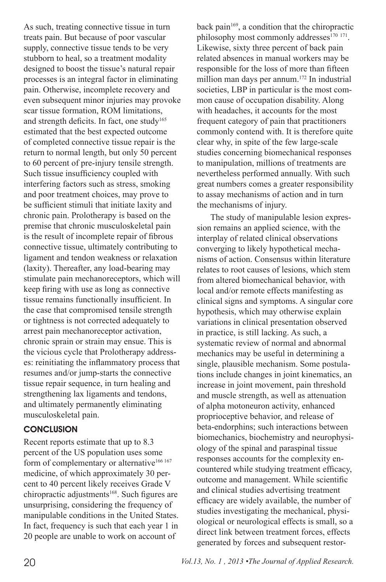As such, treating connective tissue in turn treats pain. But because of poor vascular supply, connective tissue tends to be very stubborn to heal, so a treatment modality designed to boost the tissue's natural repair processes is an integral factor in eliminating pain. Otherwise, incomplete recovery and even subsequent minor injuries may provoke scar tissue formation, ROM limitations, and strength deficits. In fact, one study<sup>165</sup> estimated that the best expected outcome of completed connective tissue repair is the return to normal length, but only 50 percent to 60 percent of pre-injury tensile strength. Such tissue insufficiency coupled with interfering factors such as stress, smoking and poor treatment choices, may prove to be sufficient stimuli that initiate laxity and chronic pain. Prolotherapy is based on the premise that chronic musculoskeletal pain is the result of incomplete repair of fibrous connective tissue, ultimately contributing to ligament and tendon weakness or relaxation (laxity). Thereafter, any load-bearing may stimulate pain mechanoreceptors, which will keep firing with use as long as connective tissue remains functionally insufficient. In the case that compromised tensile strength or tightness is not corrected adequately to arrest pain mechanoreceptor activation, chronic sprain or strain may ensue. This is the vicious cycle that Prolotherapy addresses: reinitiating the inflammatory process that resumes and/or jump-starts the connective tissue repair sequence, in turn healing and strengthening lax ligaments and tendons, and ultimately permanently eliminating musculoskeletal pain.

#### **CONCLUSION**

Recent reports estimate that up to 8.3 percent of the US population uses some form of complementary or alternative<sup>166 167</sup> medicine, of which approximately 30 percent to 40 percent likely receives Grade V chiropractic adjustments<sup>168</sup>. Such figures are unsurprising, considering the frequency of manipulable conditions in the United States. In fact, frequency is such that each year 1 in 20 people are unable to work on account of

back pain<sup>169</sup>, a condition that the chiropractic philosophy most commonly addresses<sup>170 171</sup>. Likewise, sixty three percent of back pain related absences in manual workers may be responsible for the loss of more than fifteen million man days per annum.<sup>172</sup> In industrial societies, LBP in particular is the most common cause of occupation disability. Along with headaches, it accounts for the most frequent category of pain that practitioners commonly contend with. It is therefore quite clear why, in spite of the few large-scale studies concerning biomechanical responses to manipulation, millions of treatments are nevertheless performed annually. With such great numbers comes a greater responsibility to assay mechanisms of action and in turn the mechanisms of injury.

The study of manipulable lesion expression remains an applied science, with the interplay of related clinical observations converging to likely hypothetical mechanisms of action. Consensus within literature relates to root causes of lesions, which stem from altered biomechanical behavior, with local and/or remote effects manifesting as clinical signs and symptoms. A singular core hypothesis, which may otherwise explain variations in clinical presentation observed in practice, is still lacking. As such, a systematic review of normal and abnormal mechanics may be useful in determining a single, plausible mechanism. Some postulations include changes in joint kinematics, an increase in joint movement, pain threshold and muscle strength, as well as attenuation of alpha motoneuron activity, enhanced proprioceptive behavior, and release of beta-endorphins; such interactions between biomechanics, biochemistry and neurophysiology of the spinal and paraspinal tissue responses accounts for the complexity encountered while studying treatment efficacy, outcome and management. While scientific and clinical studies advertising treatment efficacy are widely available, the number of studies investigating the mechanical, physiological or neurological effects is small, so a direct link between treatment forces, effects generated by forces and subsequent restor-

20 *Vol.13, No. 1 , 2013 •The Journal of Applied Research.*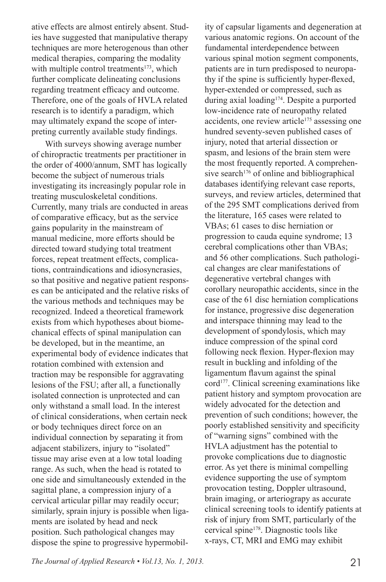ative effects are almost entirely absent. Studies have suggested that manipulative therapy techniques are more heterogenous than other medical therapies, comparing the modality with multiple control treatments<sup>173</sup>, which further complicate delineating conclusions regarding treatment efficacy and outcome. Therefore, one of the goals of HVLA related research is to identify a paradigm, which may ultimately expand the scope of interpreting currently available study findings.

With surveys showing average number of chiropractic treatments per practitioner in the order of 4000/annum, SMT has logically become the subject of numerous trials investigating its increasingly popular role in treating musculoskeletal conditions. Currently, many trials are conducted in areas of comparative efficacy, but as the service gains popularity in the mainstream of manual medicine, more efforts should be directed toward studying total treatment forces, repeat treatment effects, complications, contraindications and idiosyncrasies, so that positive and negative patient responses can be anticipated and the relative risks of the various methods and techniques may be recognized. Indeed a theoretical framework exists from which hypotheses about biomechanical effects of spinal manipulation can be developed, but in the meantime, an experimental body of evidence indicates that rotation combined with extension and traction may be responsible for aggravating lesions of the FSU; after all, a functionally isolated connection is unprotected and can only withstand a small load. In the interest of clinical considerations, when certain neck or body techniques direct force on an individual connection by separating it from adjacent stabilizers, injury to "isolated" tissue may arise even at a low total loading range. As such, when the head is rotated to one side and simultaneously extended in the sagittal plane, a compression injury of a cervical articular pillar may readily occur; similarly, sprain injury is possible when ligaments are isolated by head and neck position. Such pathological changes may dispose the spine to progressive hypermobil-

ity of capsular ligaments and degeneration at various anatomic regions. On account of the fundamental interdependence between various spinal motion segment components, patients are in turn predisposed to neuropathy if the spine is sufficiently hyper-flexed, hyper-extended or compressed, such as during axial loading174. Despite a purported low-incidence rate of neuropathy related accidents, one review article<sup>175</sup> assessing one hundred seventy-seven published cases of injury, noted that arterial dissection or spasm, and lesions of the brain stem were the most frequently reported. A comprehensive search<sup>176</sup> of online and bibliographical databases identifying relevant case reports, surveys, and review articles, determined that of the 295 SMT complications derived from the literature, 165 cases were related to VBAs; 61 cases to disc herniation or progression to cauda equine syndrome; 13 cerebral complications other than VBAs; and 56 other complications. Such pathological changes are clear manifestations of degenerative vertebral changes with corollary neuropathic accidents, since in the case of the 61 disc herniation complications for instance, progressive disc degeneration and interspace thinning may lead to the development of spondylosis, which may induce compression of the spinal cord following neck flexion. Hyper-flexion may result in buckling and infolding of the ligamentum flavum against the spinal cord<sup>177</sup>. Clinical screening examinations like patient history and symptom provocation are widely advocated for the detection and prevention of such conditions; however, the poorly established sensitivity and specificity of "warning signs" combined with the HVLA adjustment has the potential to provoke complications due to diagnostic error. As yet there is minimal compelling evidence supporting the use of symptom provocation testing, Doppler ultrasound, brain imaging, or arteriograpy as accurate clinical screening tools to identify patients at risk of injury from SMT, particularly of the cervical spine178. Diagnostic tools like x-rays, CT, MRI and EMG may exhibit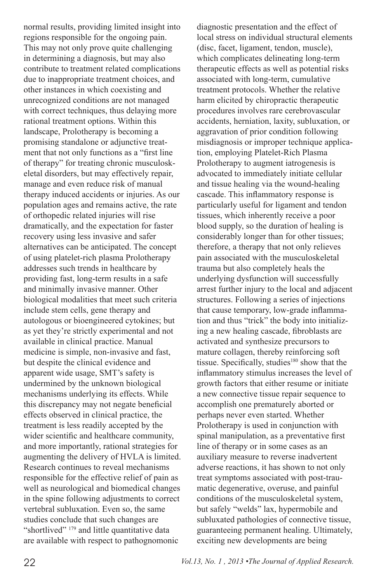normal results, providing limited insight into regions responsible for the ongoing pain. This may not only prove quite challenging in determining a diagnosis, but may also contribute to treatment related complications due to inappropriate treatment choices, and other instances in which coexisting and unrecognized conditions are not managed with correct techniques, thus delaying more rational treatment options. Within this landscape, Prolotherapy is becoming a promising standalone or adjunctive treatment that not only functions as a "first line of therapy" for treating chronic musculoskeletal disorders, but may effectively repair, manage and even reduce risk of manual therapy induced accidents or injuries. As our population ages and remains active, the rate of orthopedic related injuries will rise dramatically, and the expectation for faster recovery using less invasive and safer alternatives can be anticipated. The concept of using platelet-rich plasma Prolotherapy addresses such trends in healthcare by providing fast, long-term results in a safe and minimally invasive manner. Other biological modalities that meet such criteria include stem cells, gene therapy and autologous or bioengineered cytokines; but as yet they're strictly experimental and not available in clinical practice. Manual medicine is simple, non-invasive and fast, but despite the clinical evidence and apparent wide usage, SMT's safety is undermined by the unknown biological mechanisms underlying its effects. While this discrepancy may not negate beneficial effects observed in clinical practice, the treatment is less readily accepted by the wider scientific and healthcare community, and more importantly, rational strategies for augmenting the delivery of HVLA is limited. Research continues to reveal mechanisms responsible for the effective relief of pain as well as neurological and biomedical changes in the spine following adjustments to correct vertebral subluxation. Even so, the same studies conclude that such changes are "shortlived" <sup>179</sup> and little quantitative data are available with respect to pathognomonic

diagnostic presentation and the effect of local stress on individual structural elements (disc, facet, ligament, tendon, muscle), which complicates delineating long-term therapeutic effects as well as potential risks associated with long-term, cumulative treatment protocols. Whether the relative harm elicited by chiropractic therapeutic procedures involves rare cerebrovascular accidents, herniation, laxity, subluxation, or aggravation of prior condition following misdiagnosis or improper technique application, employing Platelet-Rich Plasma Prolotherapy to augment iatrogenesis is advocated to immediately initiate cellular and tissue healing via the wound-healing cascade. This inflammatory response is particularly useful for ligament and tendon tissues, which inherently receive a poor blood supply, so the duration of healing is considerably longer than for other tissues; therefore, a therapy that not only relieves pain associated with the musculoskeletal trauma but also completely heals the underlying dysfunction will successfully arrest further injury to the local and adjacent structures. Following a series of injections that cause temporary, low-grade inflammation and thus "trick" the body into initializing a new healing cascade, fibroblasts are activated and synthesize precursors to mature collagen, thereby reinforcing soft tissue. Specifically, studies<sup>180</sup> show that the inflammatory stimulus increases the level of growth factors that either resume or initiate a new connective tissue repair sequence to accomplish one prematurely aborted or perhaps never even started. Whether Prolotherapy is used in conjunction with spinal manipulation, as a preventative first line of therapy or in some cases as an auxiliary measure to reverse inadvertent adverse reactions, it has shown to not only treat symptoms associated with post-traumatic degenerative, overuse, and painful conditions of the musculoskeletal system, but safely "welds" lax, hypermobile and subluxated pathologies of connective tissue, guaranteeing permanent healing. Ultimately, exciting new developments are being

22 *Vol.13, No. 1 , 2013 •The Journal of Applied Research.*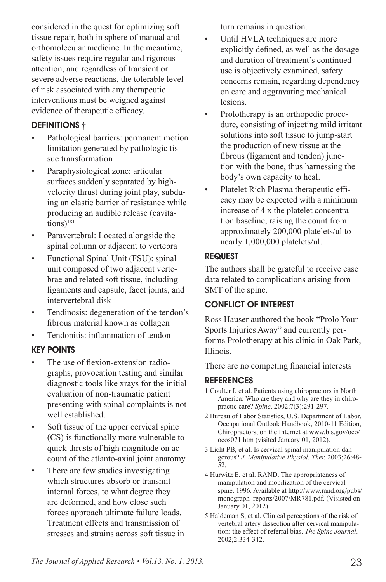considered in the quest for optimizing soft tissue repair, both in sphere of manual and orthomolecular medicine. In the meantime, safety issues require regular and rigorous attention, and regardless of transient or severe adverse reactions, the tolerable level of risk associated with any therapeutic interventions must be weighed against evidence of therapeutic efficacy.

#### DEFINITIONS <sup>†</sup>

- Pathological barriers: permanent motion limitation generated by pathologic tissue transformation
- Paraphysiological zone: articular surfaces suddenly separated by highvelocity thrust during joint play, subduing an elastic barrier of resistance while producing an audible release (cavita $tions)$ <sup>181</sup>
- Paravertebral: Located alongside the spinal column or adjacent to vertebra
- Functional Spinal Unit (FSU): spinal unit composed of two adjacent vertebrae and related soft tissue, including ligaments and capsule, facet joints, and intervertebral disk
- Tendinosis: degeneration of the tendon's fibrous material known as collagen
- Tendonitis: inflammation of tendon

#### Key Points

- The use of flexion-extension radiographs, provocation testing and similar diagnostic tools like xrays for the initial evaluation of non-traumatic patient presenting with spinal complaints is not well established.
- Soft tissue of the upper cervical spine (CS) is functionally more vulnerable to quick thrusts of high magnitude on account of the atlanto-axial joint anatomy.
- There are few studies investigating which structures absorb or transmit internal forces, to what degree they are deformed, and how close such forces approach ultimate failure loads. Treatment effects and transmission of stresses and strains across soft tissue in

turn remains in question.

- Until HVLA techniques are more explicitly defined, as well as the dosage and duration of treatment's continued use is objectively examined, safety concerns remain, regarding dependency on care and aggravating mechanical lesions.
- Prolotherapy is an orthopedic procedure, consisting of injecting mild irritant solutions into soft tissue to jump-start the production of new tissue at the fibrous (ligament and tendon) junction with the bone, thus harnessing the body's own capacity to heal.
- Platelet Rich Plasma therapeutic efficacy may be expected with a minimum increase of 4 x the platelet concentration baseline, raising the count from approximately 200,000 platelets/ul to nearly 1,000,000 platelets/ul.

#### **REQUEST**

The authors shall be grateful to receive case data related to complications arising from SMT of the spine.

#### CONFLICT OF INTEREST

Ross Hauser authored the book "Prolo Your Sports Injuries Away" and currently performs Prolotherapy at his clinic in Oak Park, Illinois.

There are no competing financial interests

#### **REFERENCES**

- 1 Coulter I, et al. Patients using chiropractors in North America: Who are they and why are they in chiropractic care? *Spine*. 2002;7(3):291-297.
- 2 Bureau of Labor Statistics, U.S. Department of Labor, Occupational Outlook Handbook, 2010-11 Edition, Chiropractors, on the Internet at www.bls.gov/oco/ ocos071.htm (visited January 01, 2012).
- 3 Licht PB, et al. Is cervical spinal manipulation dangerous? *J. Manipulative Physiol. Ther.* 2003;26:48- 52.
- 4 Hurwitz E, et al. RAND. The appropriateness of manipulation and mobilization of the cervical spine. 1996. Available at http://www.rand.org/pubs/ monograph\_reports/2007/MR781.pdf. (Visisted on January 01, 2012).
- 5 Haldeman S, et al. Clinical perceptions of the risk of vertebral artery dissection after cervical manipulation: the effect of referral bias. *The Spine Journal*. 2002;2:334-342.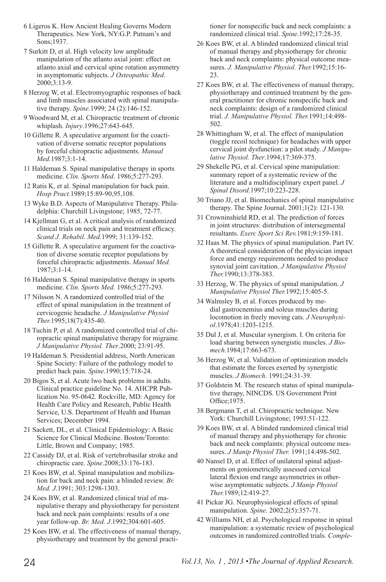6 Ligeros K. How Ancient Healing Governs Modern Therapeutics. New York, NY:G.P. Putnam's and Sons;1937.

7 Surkitt D, et al. High velocity low amplitude manipulation of the atlanto axial joint: effect on atlanto axial and cervical spine rotation asymmetry in asymptomatic subjects. *J Osteopathic Med*. 2000;3:13-9.

8 Herzog W, et al. Electromyographic responses of back and limb muscles associated with spinal manipulative therapy. *Spine.*1999; 24 (2):146-152.

- 9 Woodward M, et al. Chiropractic treatment of chronic whiplash. *Injury*.1996;27:643-645.
- 10 Gillette R. A speculative argument for the coactivation of diverse somatic receptor populations by forceful chiropractic adjustments. *Manual Med.*1987;3:1-14.
- 11 Haldeman S. Spinal manipulative therapy in sports medicine. *Clin. Sports Med*. 1986;5:277-293.
- 12 Ratis K, et al. Spinal manipulation for back pain. *Hosp Pract.*1989;15:89-90,95,108.
- 13 Wyke B.D. Aspects of Manipulative Therapy. Philadelphia: Churchill Livingstone; 1985, 72-77.
- 14 Kjellman G, et al. A critical analysis of randomized clinical trials on neck pain and treatment efficacy. *Scand J. Rehabil. Med.*1999; 31:139-152.
- 15 Gillette R. A speculative argument for the coactivation of diverse somatic receptor populations by forceful chiropractic adjustments. *Manual Med.* 1987;3:1-14.
- 16 Haldeman S. Spinal manipulative therapy in sports medicine. *Clin. Sports Med.* 1986;5:277-293.
- 17 Nilsson N. A randomized controlled trial of the effect of spinal manipulation in the treatment of cervicogenic headache. *J Manipulative Physiol Ther.*1995;18(7):435-40.
- 18 Tuchin P, et al. A randomized controlled trial of chiropractic spinal manipulative therapy for migraine. *J Manipulative Physiol. Ther*.2000; 23:91-95.
- 19 Haldeman S. Presidential address, North American Spine Society: Failure of the pathology model to predict back pain. *Spine*.1990;15:718-24.
- 20 Bigos S, et al. Acute lwo back problems in adults. Clinical practice guideline No. 14. AHCPR Publication No. 95-0642. Rockville, MD: Agency for Health Care Policy and Research, Public Health Service, U.S. Department of Health and Human Services; December 1994.
- 21 Sackett, DL, et al. Clinical Epidemiology: A Basic Science for Clinical Medicine. Boston/Toronto: Little, Brown and Company; 1985.
- 22 Cassidy DJ, et al. Risk of vertebrobasilar stroke and chiropractic care. *Spine*.2008;33:176-183.
- 23 Koes BW, et al. Spinal manipulation and mobilization for back and neck pain: a blinded review. *Br. Med. J*.1991; 303:1298-1303.
- 24 Koes BW, et al. Randomized clinical trial of manipulative therapy and physiotherapy for persistent back and neck pain complaints: results of a one year follow-up. *Br. Med. J*.1992;304:601-605.
- 25 Koes BW, et al. The effectiveness of manual therapy, physiotherapy and treatment by the general practi-

tioner for nonspecific back and neck complaints: a randomized clinical trial. *Spine*.1992;17:28-35.

- 26 Koes BW, et al. A blinded randomized clinical trial of manual therapy and physiotherapy for chronic back and neck complaints: physical outcome measures. *J. Manipulative Physiol. Ther.*1992;15:16- 23.
- 27 Koes BW, et al. The effectiveness of manual therapy, physiotherapy and continued treatment by the general practitioner for chronic nonspecific back and neck complaints: design of a randomized clinical trial. *J. Manipulative Physiol. Ther.*1991;14:498- 502.
- 28 Whittingham W, et al. The effect of manipulation (toggle recoil technique) for headaches with upper cervical joint dysfunction: a pilot study. *J Manipulative Thysiol. Ther*.1994;17:369-375.
- 29 Shekelle PG, et al. Cervical spine manipulation: summary report of a systematic review of the literature and a multidisciplinary expert panel. *J Spinal Disord*.1997;10:223-228.
- 30 Triano JJ, et al. Biomechanics of spinal manipulative therapy. The Spine Journal. 2001;1(2): 121-130.
- 31 Crowninshield RD, et al. The prediction of forces in joint structures: distribution of intersegmental resultants. *Exerc Sport Sci Rev.*1981;9:159-181.
- 32 Haas M. The physics of spinal manipulation. Part IV. A theoretical consideration of the physician impact force and energy requirements needed to produce synovial joint cavitation. *J Manipulative Physiol Ther.*1990;13:378-383.
- 33 Herzog, W. The physics of spinal manipulation. *J Manipulative Physiol Ther.*1992;15:405-5.
- 34 Walmsley B, et al. Forces produced by medial gastrocnemius and soleus muscles during locomotion in freely moving cats. *J Neurophysiol*.1978;41:1203-1215.
- 35 Dul J, et al. Muscular synergism. I. On criteria for load sharing between synergistic muscles. *J Biomech.*1984;17:663-673.
- 36 Herzog W, et al. Validation of optimization models that estimate the forces exerted by synergistic muscles. *J Biomech*. 1991;24:31-39.
- 37 Goldstein M. The research status of spinal manipulative therapy, NINCDS. US Government Print Office;1975.
- 38 Bergmann T, et al. Chiropractic technique. New York: Churchill Livingstone; 1993:51-122.
- 39 Koes BW, et al. A blinded randomized clinical trial of manual therapy and physiotherapy for chronic back and neck complaints: physical outcome measures. *J Manip Physiol Ther.* 1991;14:498-502.
- 40 Nansel D, et al. Effect of unilateral spinal adjustments on goniometrically assessed cervical lateral flexion end range asymmetries in otherwise asymptomatic subjects. *J Manip Physiol Ther.*1989;12:419-27.
- 41 Pickar JG. Neurophysiological effects of spinal manipulation. *Spine*. 2002;2(5):357-71.
- 42 Williams NH, et al. Psychological response in spinal manipulation: a systematic review of psychological outcomes in randomized controlled trials. *Comple-*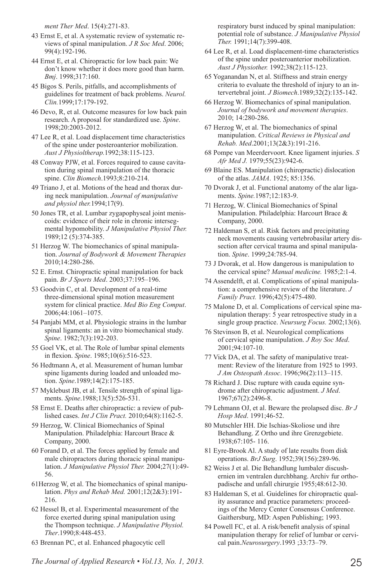*ment Ther Med*. 15(4):271-83.

- 43 Ernst E, et al. A systematic review of systematic reviews of spinal manipulation. *J R Soc Med*. 2006; 99(4):192-196.
- 44 Ernst E, et al. Chiropractic for low back pain: We don't know whether it does more good than harm. *Bmj*. 1998;317:160.
- 45 Bigos S. Perils, pitfalls, and accomplishments of guidelines for treatment of back problems. *Neurol. Clin.*1999;17:179-192.
- 46 Devo, R, et al. Outcome measures for low back pain research. A proposal for standardized use. *Spine*. 1998;20:2003-2012.
- 47 Lee R, et al. Load displacement time characteristics of the spine under posteroanterior mobilization. *Aust J Physioltherap.*1992;38:115-123.
- 48 Conway PJW, et al. Forces required to cause cavitation during spinal manipulation of the thoracic spine. *Clin Biomech*.1993;8:210-214.
- 49 Triano J, et al. Motions of the head and thorax during neck manipulation. *Journal of manipulative and physiol ther.*1994;17(9).
- 50 Jones TR, et al. Lumbar zygapophyseal joint meniscoids: evidence of their role in chronic intersegmental hypomobility. *J Manipulative Physiol Ther.*  1989;12 (5):374-385.
- 51 Herzog W. The biomechanics of spinal manipulation. *Journal of Bodywork & Movement Therapies*  2010;14:280-286.
- 52 E. Ernst. Chiropractic spinal manipulation for back pain. *Br J Sports Med*. 2003;37:195–196.
- 53 Goodvin C, et al. Development of a real-time three-dimensional spinal motion measurement system for clinical practice. *Med Bio Eng Comput*. 2006;44:1061–1075.
- 54 Panjabi MM, et al. Physiologic strains in the lumbar spinal ligaments: an in vitro biomechanical study. *Spine*. 1982;7(3):192-203.
- 55 Goel VK, et al. The Role of lumbar spinal elements in flexion. *Spine*. 1985;10(6):516-523.
- 56 Hedtmann A, et al. Measurement of human lumbar spine ligaments during loaded and unloaded motion. *Spine*.1989;14(2):175-185.
- 57 Myklebust JB, et al. Tensile strength of spinal ligaments. *Spine*.1988;13(5):526-531.
- 58 Ernst E. Deaths after chiropractic: a review of published cases. *Int J Clin Pract.* 2010;64(8):1162-5.
- 59 Herzog, W. Clinical Biomechanics of Spinal Manipulation. Philadelphia: Harcourt Brace & Company, 2000.
- 60 Forand D, et al. The forces applied by female and male chiropractors during thoracic spinal manipulation. *J Manipulative Physiol Ther.* 2004;27(1):49- 56.
- 61Herzog W, et al. The biomechanics of spinal manipulation. *Phys and Rehab Med.* 2001;12(2&3):191- 216.
- 62 Hessel B, et al. Experimental measurement of the force exerted during spinal manipulation using the Thompson technique. *J Manipulative Physiol. Ther*.1990;8:448-453.
- 63 Brennan PC, et al. Enhanced phagocytic cell

respiratory burst induced by spinal manipulation: potential role of substance. *J Manipulative Physiol Ther.* 1991;14(7):399-408.

- 64 Lee R, et al. Load displacement-time characteristics of the spine under posteroanterior mobilization. *Aust J Physiother.* 1992;38(2):115-123.
- 65 Yoganandan N, et al. Stiffness and strain energy criteria to evaluate the threshold of injury to an intervertebral joint. *J Biomech*.1989;32(2):135-142.
- 66 Herzog W. Biomechanics of spinal manipulation. *Journal of bodywork and movement therapies*. 2010; 14:280-286.
- 67 Herzog W, et al. The biomechanics of spinal manipulation. *Critical Reviews in Physical and Rehab. Med*.2001;13(2&3):191-216.
- 68 Pompe van Meerdervoort. Knee ligament injuries. *S Afr Med J.* 1979;55(23):942-6.
- 69 Blaine ES. Manipulation (chiropractic) dislocation of the atlas. *JAMA*. 1925; 85:1356.
- 70 Dvorak J, et al. Functional anatomy of the alar ligaments. *Spine.*1987;12:183-9.
- 71 Herzog, W. Clinical Biomechanics of Spinal Manipulation. Philadelphia: Harcourt Brace & Company, 2000.
- 72 Haldeman S, et al. Risk factors and precipitating neck movements causing vertebrobasilar artery dissection after cervical trauma and spinal manipulation. *Spine*. 1999;24:785-94.
- 73 J Dvorak, et al. How dangerous is manipulation to the cervical spine? *Manual medicine.* 1985;2:1-4.
- 74 Assendelft, et al. Complications of spinal manipulation: a comprehensive review of the literature. *J Family Pract.* 1996;42(5):475-480.
- 75 Malone D, et al. Complications of cervical spine manipulation therapy: 5 year retrospective study in a single group practice. *Neursurg Focus.* 2002;13(6).
- 76 Stevinson B, et al. Neurological complications of cervical spine manipulation. *J Roy Soc Med*. 2001;94:107-10.
- 77 Vick DA, et al. The safety of manipulative treatment: Review of the literature from 1925 to 1993. *J Am Osteopath Assoc*. 1996;96(2):113–115.
- 78 Richard J. Disc rupture with cauda equine syndrome after chiropractic adjustment. *J Med*. 1967;67(2):2496-8.
- 79 Lehmann OJ, et al. Beware the prolapsed disc. *Br J Hosp Med*. 1991;46-52.
- 80 Mutschler HH. Die Ischias-Skoliose und ihre Behandlung. Z Ortho und ihre Grenzgebiete. 1938;67:105- 116.
- 81 Eyre-Brook Al. A study of late results from disk operations. *BrJ Surg*. 1952;39(156):289-96.
- 82 Weiss J et al. Die Behandlung lumbaler discushernien im ventralen durchbhang. Archiv fur orthopadische and unfall chirurgie 1955;48:612-30.
- 83 Haldeman S, et al. Guidelines for chiropractic quality assurance and practice parameters: proceedings of the Mercy Center Consensus Conference. Gaithersburg, MD: Aspen Publishing; 1993.
- 84 Powell FC, et al. A risk/benefit analysis of spinal manipulation therapy for relief of lumbar or cervical pain.*Neurosurgery*.1993 ;33:73–79.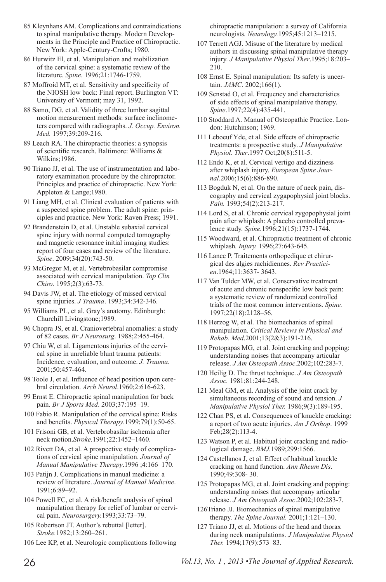- 85 Kleynhans AM. Complications and contraindications to spinal manipulative therapy. Modern Developments in the Principle and Practice of Chiropractic. New York: Apple-Century-Crofts; 1980.
- 86 Hurwitz El, et al. Manipulation and mobilization of the cervical spine: a systematic review of the literature. *Spine*. 1996;21:1746-1759.
- 87 Moffroid MT, et al. Sensitivity and specificity of the NIOSH low back: Final report. Burlington VT: University of Vermont; may 31, 1992.
- 88 Samo, DG, et al. Validity of three lumbar sagittal motion measurement methods: surface inclinometers compared with radiographs. *J. Occup. Environ. Med.* 1997;39:209-216.
- 89 Leach RA. The chiropractic theories: a synopsis of scientific research. Baltimore: Williams & Wilkins;1986.
- 90 Triano JJ, et al. The use of instrumentation and laboratory examination procedure by the chiropractor. Principles and practice of chiropractic. New York: Appleton & Lange;1980.
- 91 Liang MH, et al. Clinical evaluation of patients with a suspected spine problem. The adult spine: principles and practice. New York: Raven Press; 1991.
- 92 Brandenstein D, et al. Unstable subaxial cervical spine injury with normal computed tomography and magnetic resonance initial imaging studies: report of four cases and review of the literature. *Spine*. 2009;34(20):743-50.
- 93 McGregor M, et al. Vertebrobasilar compromise associated with cervical manipulation. *Top Clin Chiro*. 1995;2(3):63-73.
- 94 Davis JW, et al. The etiology of missed cervical spine injuries. *J Trauma*. 1993;34:342-346.
- 95 Williams PL, et al. Gray's anatomy. Edinburgh: Churchill Livingstone;1989.
- 96 Chopra JS, et al. Craniovertebral anomalies: a study of 82 cases. *Br J Neurosurg*. 1988;2:455-464.
- 97 Chiu W, et al. Ligamentous injuries of the cervical spine in unreliable blunt trauma patients: Incidence, evaluation, and outcome. *J. Trauma.* 2001;50:457-464.
- 98 Toole J, et al. Influence of head position upon cerebral circulation. *Arch Neurol*.1960;2:616-623.
- 99 Ernst E. Chiropractic spinal manipulation for back pain. *Br J Sports Med*. 2003;37:195–19.
- 100 Fabio R. Manipulation of the cervical spine: Risks and benefits. *Physical Therapy*.1999;79(1):50-65.
- 101 Frisoni GB, et al. Vertebrobasilar ischemia after neck motion.*Stroke.*1991;22:1452–1460.
- 102 Rivett DA, et al. A prospective study of complications of cervical spine manipulation. *Journal of Manual Manipulative Therapy*.1996 ;4:166–170.
- 103 Patijn J. Complications in manual medicine: a review of literature. *Journal of Manual Medicine*. 1991;6:89–92.
- 104 Powell FC, et al. A risk/benefit analysis of spinal manipulation therapy for relief of lumbar or cervical pain. *Neurosurgery.*1993;33:73–79.
- 105 Robertson JT. Author's rebuttal [letter]. *Stroke.*1982;13:260–261.
- 106 Lee KP, et al. Neurologic complications following

chiropractic manipulation: a survey of California neurologists*. Neurology.*1995;45:1213–1215.

- 107 Terrett AGJ. Misuse of the literature by medical authors in discussing spinal manipulative therapy injury. *J Manipulative Physiol Ther*.1995;18:203– 210.
- 108 Ernst E. Spinal manipulation: Its safety is uncertain. *JAMC*. 2002;166(1).
- 109 Senstad O, et al. Frequency and characteristics of side effects of spinal manipulative therapy. *Spine*.1997;22(4):435-441.
- 110 Stoddard A. Manual of Osteopathic Practice. London: Hutchinson; 1969.
- 111 Leboeuf Yde, et al. Side effects of chiropractic treatments: a prospective study. *J Manipulative Physiol. Ther*.1997 Oct;20(8):511-5.
- 112 Endo K, et al. Cervical vertigo and dizziness after whiplash injury. *European Spine Journal.*2006;15(6):886-890.
- 113 Bogduk N, et al. On the nature of neck pain, discography and cervical zygapophysial joint blocks. *Pain.* 1993;54(2):213-217.
- 114 Lord S, et al. Chronic cervical zygopophysial joint pain after whiplash: A placebo controlled prevalence study. *Spine.*1996;21(15):1737-1744.
- 115 Woodward, et al. Chiropractic treatment of chronic whiplash*. Injury.* 1996;27:643-645.
- 116 Lance P. Traitements orthopedique et chirurgical des algies rachidiennes. *Rev Practicien*.1964;11:3637- 3643.
- 117 Van Tulder MW, et al. Conservative treatment of acute and chronic nonspecific low back pain: a systematic review of randomized controlled trials of the most common interventions. *Spine.* 1997;22(18):2128–56.
- 118 Herzog W, et al. The biomechanics of spinal manipulation. *Critical Reviews in Physical and Rehab. Med*.2001;13(2&3):191-216.
- 119 Protopapas MG, et al. Joint cracking and popping: understanding noises that accompany articular release. *J Am Osteopath Assoc*.2002;102:283-7.
- 120 Heilig D. The thrust technique. *J Am Osteopath Assoc.* 1981;81:244-248.
- 121 Meal GM, et al. Analysis of the joint crack by simultaneous recording of sound and tension. *J Manipulative Physiol Ther.* 1986;9(3):189-195.
- 122 Chan PS, et al. Consequences of knuckle cracking: a report of two acute injuries. *Am J Orthop*. 1999 Feb;28(2):113-4.
- 123 Watson P, et al. Habitual joint cracking and radiological damage. *BMJ.*1989;299:1566.
- 124 Castellanos J, et al. Effect of habitual knuckle cracking on hand function. *Ann Rheum Dis*. 1990;49:308- 30.
- 125 Protopapas MG, et al. Joint cracking and popping: understanding noises that accompany articular release. *J Am Osteopath Assoc*.2002;102:283-7.
- 126Triano JJ. Biomechanics of spinal manipulative therapy. *The Spine Journal.* 2001;1:121–130.
- 127 Triano JJ, et al. Motions of the head and thorax during neck manipulations. *J Manipulative Physiol Ther.* 1994;17(9):573–83.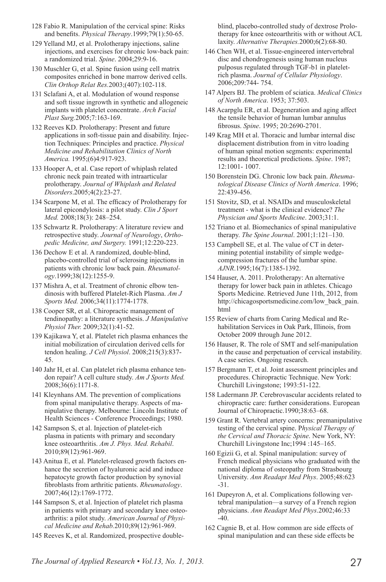- 128 Fabio R. Manipulation of the cervical spine: Risks and benefits. *Physical Therapy*.1999;79(1):50-65.
- 129 Yelland MJ, et al. Prolotherapy injections, saline injections, and exercises for chronic low-back pain: a randomized trial. *Spine*. 2004;29:9-16.
- 130 Muschler G, et al. Spine fusion using cell matrix composites enriched in bone marrow derived cells. *Clin Orthop Relat Res.*2003;(407):102-118.
- 131 Sclafani A, et al. Modulation of wound response and soft tissue ingrowth in synthetic and allogeneic implants with platelet concentrate. *Arch Facial Plast Surg.*2005;7:163-169.
- 132 Reeves KD. Prolotherapy: Present and future applications in soft-tissue pain and disability. Injection Techniques: Principles and practice. *Physical Medicine and Rehabilitation Clinics of North America.* 1995;(6)4:917-923.
- 133 Hooper A, et al. Case report of whiplash related chronic neck pain treated with intraarticular prolotherapy. *Journal of Whiplash and Related Disorders*.2005;4(2):23-27.
- 134 Scarpone M, et al. The efficacy of Prolotherapy for lateral epicondylosis: a pilot study. *Clin J Sport Med.* 2008;18(3): 248–254.
- 135 Schwartz R. Prolotherapy: A literature review and retrospective study. *Journal of Neurology*, *Orthopedic Medicine, and Surgery.* 1991;12:220-223.
- 136 Dechow E et al. A randomized, double-blind, placebo-controlled trial of sclerosing injections in patients with chronic low back pain. *Rheumatology*.1999;38(12):1255-9.
- 137 Mishra A, et al. Treatment of chronic elbow tendinosis with buffered Platelet-Rich Plasma. *Am J Sports Med.* 2006;34(11):1774-1778.
- 138 Cooper SR, et al. Chiropractic management of tendinopathy: a literature synthesis. *J Manipulative Physiol Ther.* 2009;32(1):41-52.
- 139 Kajikawa Y, et al. Platelet rich plasma enhances the initial mobilization of circulation derived cells for tendon healing. *J Cell Physiol*. 2008;215(3):837- 45.
- 140 Jahr H, et al. Can platelet rich plasma enhance tendon repair? A cell culture study. *Am J Sports Med.* 2008;36(6):1171-8.
- 141 Kleynhans AM. The prevention of complications from spinal manipulative therapy. Aspects of manipulative therapy. Melbourne: Lincoln Institute of Health Sciences - Conference Proceedings; 1980.
- 142 Sampson S, et al. Injection of platelet-rich plasma in patients with primary and secondary knee osteoarthritis. *Am J. Phys. Med. Rehabil*. 2010;89(12):961-969.
- 143 Anitua E, et al. Platelet-released growth factors enhance the secretion of hyaluronic acid and induce hepatocyte growth factor production by synovial fibroblasts from arthritic patients. *Rheumatology*. 2007;46(12):1769-1772.
- 144 Sampson S, et al. Injection of platelet rich plasma in patients with primary and secondary knee osteoarthritis: a pilot study. *American Journal of Physical Medicine and Rehab.*2010;89(12):961-969.
- 145 Reeves K, et al. Randomized, prospective double-

blind, placebo-controlled study of dextrose Prolotherapy for knee osteoarthritis with or without ACL laxity. *Alternative Therapies.*2000;6(2):68-80.

- 146 Chen WH, et al. Tissue-engineered intervertebral disc and chondrogenesis using human nucleus pulposus regulated through TGF-b1 in plateletrich plasma. *Journal of Cellular Physiology*. 2006;209:744- 754.
- 147 Alpers BJ. The problem of sciatica. *Medical Clinics of North America*. 1953; 37:503.
- 148 Acarpglu ER, et al. Degeneration and aging affect the tensile behavior of human lumbar annulus fibrosus. *Spine*. 1995; 20:2690-2701.
- 149 Krag MH et al. Thoracic and lumbar internal disc displacement distribution from in vitro loading of human spinal motion segments: experimental results and theoretical predictions. *Spine*. 1987; 12:1001- 1007.
- 150 Borenstein DG. Chronic low back pain. *Rheumatological Disease Clinics of North America*. 1996; 22:439-456.
- 151 Stovitz, SD, et al. NSAIDs and musculoskeletal treatment - what is the clinical evidence? *The Physician and Sports Medicine*. 2003;31:1.
- 152 Triano et al. Biomechanics of spinal manipulative therapy. *The Spine Journal*. 2001;1:121–130.
- 153 Campbell SE, et al. The value of CT in determining potential instability of simple wedgecompression fractures of the lumbar spine. *AJNR*.1995;16(7):1385-1392.
- 154 Hauser, A. 2011. Prolotherapy: An alternative therapy for lower back pain in athletes. Chicago Sports Medicine. Retrieved June 11th, 2012, from http://chicagosportsmedicine.com/low\_back\_pain. html
- 155 Review of charts from Caring Medical and Rehabilitation Services in Oak Park, Illinois, from October 2009 through June 2012.
- 156 Hauser, R. The role of SMT and self-manipulation in the cause and perpetuation of cervical instability. A case series. Ongoing research.
- 157 Bergmann T, et al. Joint assessment principles and procedures. Chiropractic Technique. New York: Churchill Livingstone; 1993:51-122.
- 158 Ladermann JP. Cerebrovascular accidents related to chiropractic care: further considerations. European Journal of Chiropractic.1990;38:63–68.
- 159 Grant R. Vertebral artery concerns: premanipulative testing of the cervical spine. P*hysical Therapy of the Cervical and Thoracic Spine*. New York, NY: Churchill Livingstone Inc;1994 :145–165.
- 160 Egizii G, et al. Spinal manipulation: survey of French medical physicians who graduated with the national diploma of osteopathy from Strasbourg University. *Ann Readapt Med Phys*. 2005;48:623 -31.
- 161 Dupeyron A, et al. Complications following vertebral manipulation—a survey of a French region physicians. *Ann Readapt Med Phys*.2002;46:33 -40.
- 162 Cagnie B, et al. How common are side effects of spinal manipulation and can these side effects be